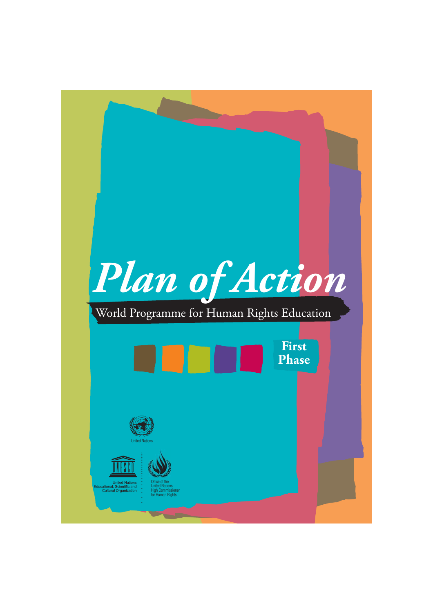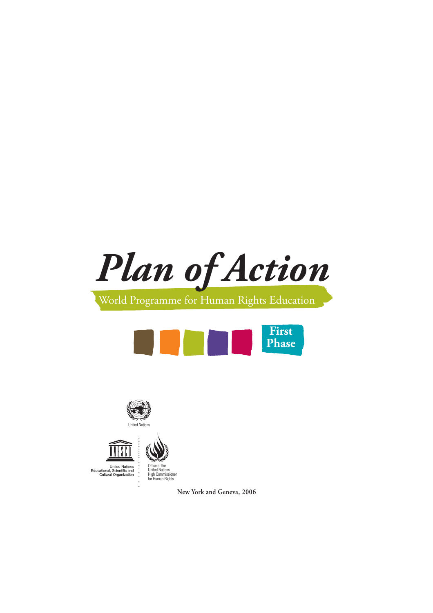*Plan of Action*

## World Programme for Human Rights Education







**United Nations** Educational, Scientific and<br>Cultural Organization Office of the United Nations High Commissioner for Human Rights

**New York and Geneva, 2006**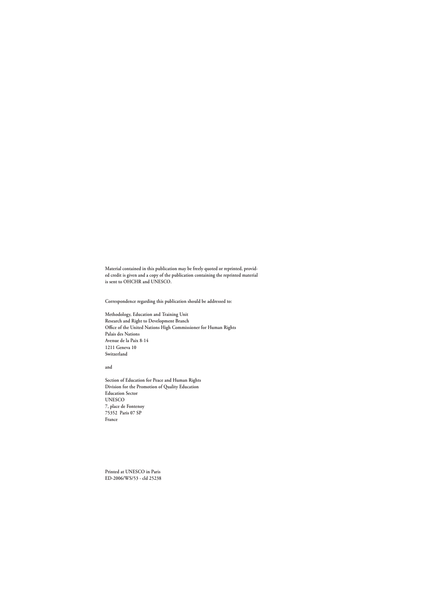**Material contained in this publication may be freely quoted or reprinted, provided credit is given and a copy of the publication containing the reprinted material is sent to OHCHR and UNESCO.**

**Correspondence regarding this publication should be addressed to:**

**Methodology, Education and Training Unit Research and Right to Development Branch Office of the United Nations High Commissioner for Human Rights Palais des Nations Avenue de la Paix 8-14 1211 Geneva 10 Switzerland**

**and**

**Section of Education for Peace and Human Rights Division for the Promotion of Quality Education Education Sector UNESCO 7, place de Fontenoy 75352 Paris 07 SP France** 

**Printed at UNESCO in Paris ED-2006/WS/53 - cld 25238**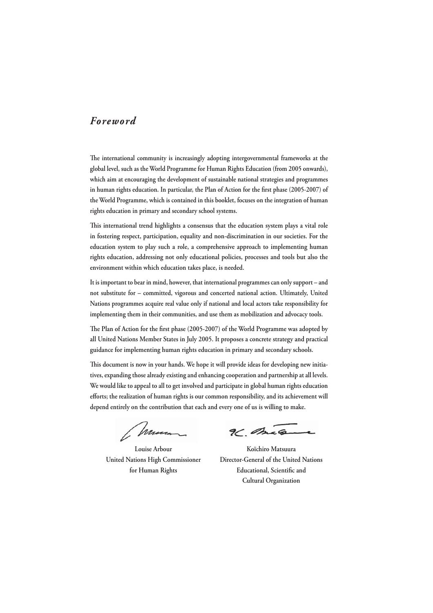#### *Foreword*

The international community is increasingly adopting intergovernmental frameworks at the **global level, such as the World Programme for Human Rights Education (from 2005 onwards), which aim at encouraging the development of sustainable national strategies and programmes**  in human rights education. In particular, the Plan of Action for the first phase (2005-2007) of **the World Programme, which is contained in this booklet, focuses on the integration of human rights education in primary and secondary school systems.** 

This international trend highlights a consensus that the education system plays a vital role **in fostering respect, participation, equality and non-discrimination in our societies. For the education system to play such a role, a comprehensive approach to implementing human rights education, addressing not only educational policies, processes and tools but also the environment within which education takes place, is needed.** 

**It is important to bear in mind, however, that international programmes can only support – and not substitute for – committed, vigorous and concerted national action. Ultimately, United Nations programmes acquire real value only if national and local actors take responsibility for implementing them in their communities, and use them as mobilization and advocacy tools.**

The Plan of Action for the first phase (2005-2007) of the World Programme was adopted by **all United Nations Member States in July 2005. It proposes a concrete strategy and practical guidance for implementing human rights education in primary and secondary schools.** 

This document is now in your hands. We hope it will provide ideas for developing new initia**tives, expanding those already existing and enhancing cooperation and partnership at all levels. We would like to appeal to all to get involved and participate in global human rights education**  efforts; the realization of human rights is our common responsibility, and its achievement will **depend entirely on the contribution that each and every one of us is willing to make.**

Chron

96 mag

 **Louise Arbour Koïchiro Matsuura United Nations High Commissioner Director-General of the United Nations** for Human Rights **Educational, Scientific and Cultural Organization**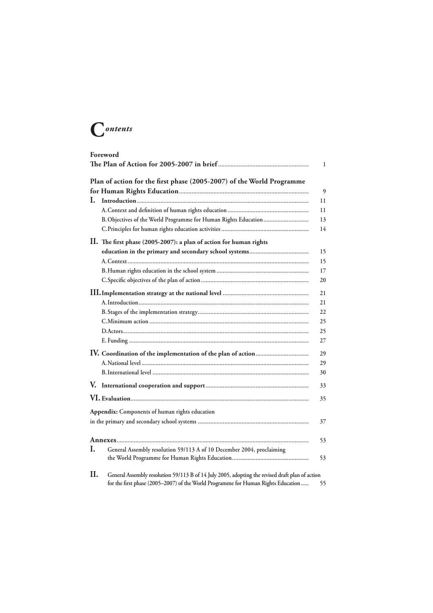## **C***ontents*

| Foreword<br>1 |                                                                                                 |    |
|---------------|-------------------------------------------------------------------------------------------------|----|
|               | Plan of action for the first phase (2005-2007) of the World Programme                           |    |
|               |                                                                                                 | 9  |
| L.            |                                                                                                 | 11 |
|               |                                                                                                 | 11 |
|               | B. Objectives of the World Programme for Human Rights Education                                 | 13 |
|               |                                                                                                 | 14 |
|               | II. The first phase (2005-2007): a plan of action for human rights                              |    |
|               |                                                                                                 | 15 |
|               |                                                                                                 | 15 |
|               |                                                                                                 | 17 |
|               |                                                                                                 | 20 |
|               |                                                                                                 | 21 |
|               |                                                                                                 | 21 |
|               |                                                                                                 | 22 |
|               |                                                                                                 | 25 |
|               |                                                                                                 | 25 |
|               |                                                                                                 | 27 |
|               |                                                                                                 | 29 |
|               |                                                                                                 | 29 |
|               |                                                                                                 | 30 |
|               |                                                                                                 | 33 |
|               |                                                                                                 | 35 |
|               | Appendix: Components of human rights education                                                  |    |
|               |                                                                                                 | 37 |
|               |                                                                                                 | 53 |
| I.            | General Assembly resolution 59/113 A of 10 December 2004, proclaiming                           |    |
|               |                                                                                                 | 53 |
| II.           | General Assembly resolution 59/113 B of 14 July 2005, adopting the revised draft plan of action |    |
|               | for the first phase (2005-2007) of the World Programme for Human Rights Education               | 55 |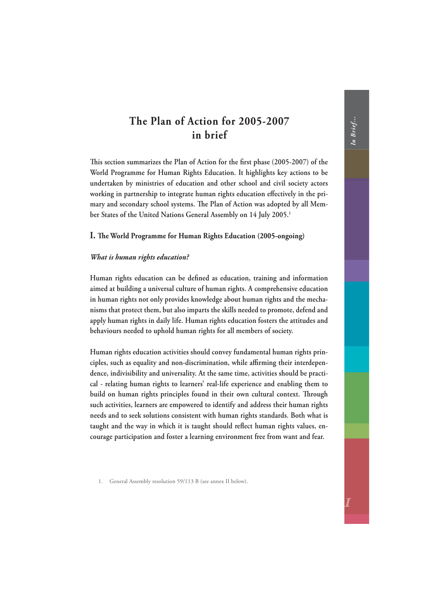## <span id="page-5-0"></span>**The Plan of Action for 2005-2007 in brief**

This section summarizes the Plan of Action for the first phase (2005-2007) of the **World Programme for Human Rights Education. It highlights key actions to be undertaken by ministries of education and other school and civil society actors**  working in partnership to integrate human rights education effectively in the primary and secondary school systems. The Plan of Action was adopted by all Mem**ber States of the United Nations General Assembly on 14 July 2005.1**

#### **I.** The World Programme for Human Rights Education (2005-ongoing)

#### *What is human rights education?*

Human rights education can be defined as education, training and information **aimed at building a universal culture of human rights. A comprehensive education in human rights not only provides knowledge about human rights and the mechanisms that protect them, but also imparts the skills needed to promote, defend and apply human rights in daily life. Human rights education fosters the attitudes and behaviours needed to uphold human rights for all members of society.**

**Human rights education activities should convey fundamental human rights prin**ciples, such as equality and non-discrimination, while affirming their interdepen**dence, indivisibility and universality. At the same time, activities should be practical - relating human rights to learners' real-life experience and enabling them to**  build on human rights principles found in their own cultural context. Through **such activities, learners are empowered to identify and address their human rights needs and to seek solutions consistent with human rights standards. Both what is**  taught and the way in which it is taught should reflect human rights values, en**courage participation and foster a learning environment free from want and fear.**

1. General Assembly resolution 59/113 B (see annex II below).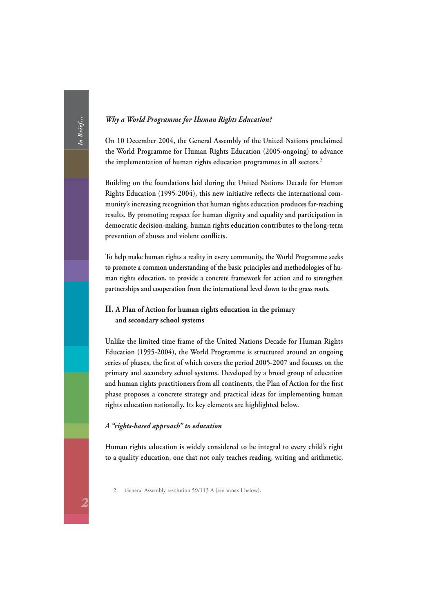#### *Why a World Programme for Human Rights Education?*

**On 10 December 2004, the General Assembly of the United Nations proclaimed the World Programme for Human Rights Education (2005-ongoing) to advance the implementation of human rights education programmes in all sectors.2**

**Building on the foundations laid during the United Nations Decade for Human**  Rights Education (1995-2004), this new initiative reflects the international com**munity's increasing recognition that human rights education produces far-reaching results. By promoting respect for human dignity and equality and participation in democratic decision-making, human rights education contributes to the long-term**  prevention of abuses and violent conflicts.

**To help make human rights a reality in every community, the World Programme seeks to promote a common understanding of the basic principles and methodologies of human rights education, to provide a concrete framework for action and to strengthen partnerships and cooperation from the international level down to the grass roots.**

#### **II. A Plan of Action for human rights education in the primary and secondary school systems**

**Unlike the limited time frame of the United Nations Decade for Human Rights Education (1995-2004), the World Programme is structured around an ongoing**  series of phases, the first of which covers the period 2005-2007 and focuses on the **primary and secondary school systems. Developed by a broad group of education**  and human rights practitioners from all continents, the Plan of Action for the first **phase proposes a concrete strategy and practical ideas for implementing human rights education nationally. Its key elements are highlighted below.**

#### *A "rights-based approach" to education*

**Human rights education is widely considered to be integral to every child's right to a quality education, one that not only teaches reading, writing and arithmetic,** 

2. General Assembly resolution 59/113 A (see annex I below).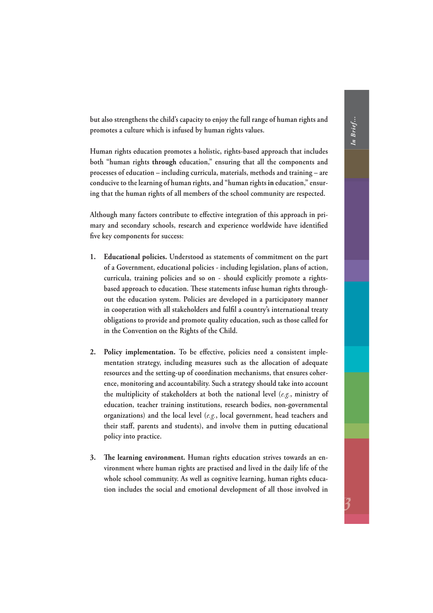**but also strengthens the child's capacity to enjoy the full range of human rights and promotes a culture which is infused by human rights values.** 

**Human rights education promotes a holistic, rights-based approach that includes both "human rights through education," ensuring that all the components and processes of education – including curricula, materials, methods and training – are conducive to the learning of human rights, and "human rights in education," ensuring that the human rights of all members of the school community are respected.**

Although many factors contribute to effective integration of this approach in primary and secondary schools, research and experience worldwide have identified five key components for success:

- **1. Educational policies. Understood as statements of commitment on the part of a Government, educational policies - including legislation, plans of action, curricula, training policies and so on - should explicitly promote a rights**based approach to education. These statements infuse human rights through**out the education system. Policies are developed in a participatory manner**  in cooperation with all stakeholders and fulfil a country's international treaty **obligations to provide and promote quality education, such as those called for in the Convention on the Rights of the Child.**
- 2. Policy implementation. To be effective, policies need a consistent imple**mentation strategy, including measures such as the allocation of adequate re sources and the setting-up of coordination mechanisms, that ensures coherence, monitoring and accountability. Such a strategy should take into account the multiplicity of stakeholders at both the national level (***e.g.***, ministry of education, teacher training institutions, research bodies, non-governmental organizations) and the local level (***e.g.***, local government, head teachers and**  their staff, parents and students), and involve them in putting educational **policy into practice.**
- 3. The learning environment. Human rights education strives towards an en**vironment where human rights are practised and lived in the daily life of the whole school community. As well as cognitive learning, human rights education includes the social and emotional development of all those involved in**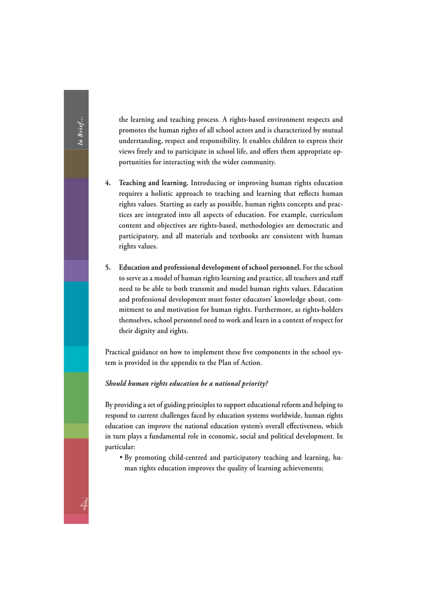**the learning and teaching process. A rights-based environment respects and promotes the human rights of all school actors and is characterized by mutual understanding, respect and responsibility. It enables children to express their**  views freely and to participate in school life, and offers them appropriate op**portunities for interacting with the wider community.**

- **4. Teaching and learning. Introducing or improving human rights education**  requires a holistic approach to teaching and learning that reflects human **rights values. Starting as early as possible, human rights concepts and practices are integrated into all aspects of education. For example, curriculum content and objectives are rights-based, methodologies are democratic and participatory, and all materials and textbooks are consistent with human rights values.**
- **5. Education and professional development of school personnel. For the school to serve as a model of human rights learning and practice, all teachers and staff need to be able to both transmit and model human rights values. Education and professional development must foster educators' knowledge about, commitment to and motivation for human rights. Furthermore, as rights-holders themselves, school personnel need to work and learn in a context of respect for their dignity and rights.**

Practical guidance on how to implement these five components in the school sys**tem is provided in the appendix to the Plan of Action.**

#### *Should human rights education be a national priority?*

**By providing a set of guiding principles to support educational reform and helping to respond to current challenges faced by education systems worldwide, human rights**  education can improve the national education system's overall effectiveness, which **in turn plays a fundamental role in economic, social and political development. In particular:** 

 **• By promoting child-centred and participatory teaching and learning, human rights education improves the quality of learning achievements;**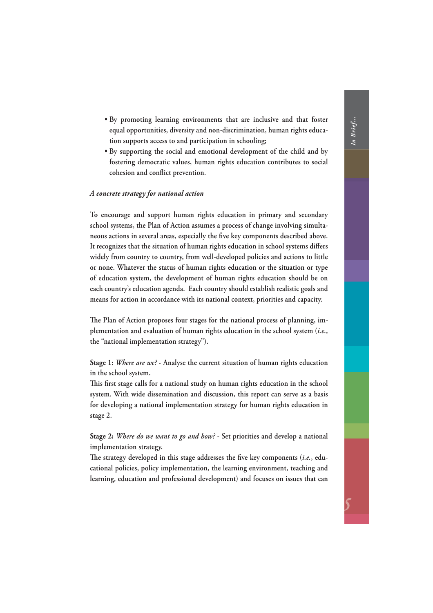- **By promoting learning environments that are inclusive and that foster equal opportunities, diversity and non-discrimination, human rights education supports access to and participation in schooling;**
- **By supporting the social and emotional development of the child and by fostering democratic values, human rights education contributes to social** cohesion and conflict prevention.

#### *A concrete strategy for national action*

**To encourage and support human rights education in primary and secondary school systems, the Plan of Action assumes a process of change involving simulta**neous actions in several areas, especially the five key components described above. It recognizes that the situation of human rights education in school systems differs **widely from country to country, from well-developed policies and actions to little or none. Whatever the status of human rights education or the situation or type of education system, the development of human rights education should be on each country's education agenda. Each country should establish realistic goals and means for action in accordance with its national context, priorities and capacity.**

The Plan of Action proposes four stages for the national process of planning, im**plementation and evaluation of human rights education in the school system (***i.e.***, the "national implementation strategy").**

**Stage 1:** *Where are we?* **- Analyse the current situation of human rights education in the school system.** 

This first stage calls for a national study on human rights education in the school **system. With wide dissemination and discussion, this report can serve as a basis for developing a national implementation strategy for human rights education in stage 2.**

**Stage 2:** *Where do we want to go and how?* **- Set priorities and develop a national implementation strategy.**

The strategy developed in this stage addresses the five key components (*i.e.*, edu**cational policies, policy implementation, the learning environment, teaching and learning, education and professional development) and focuses on issues that can**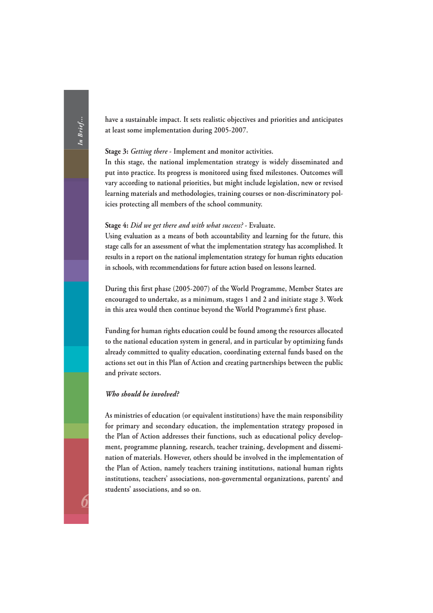**have a sustainable impact. It sets realistic objectives and priorities and anticipates at least some implementation during 2005-2007.**

#### **Stage 3:** *Getting there* **- Implement and monitor activities.**

**In this stage, the national implementation strategy is widely disseminated and**  put into practice. Its progress is monitored using fixed milestones. Outcomes will **vary according to national priorities, but might include legislation, new or revised learning materials and methodologies, training courses or non-discriminatory policies protecting all members of the school community.** 

#### **Stage 4:** *Did we get there and with what success?* **- Evaluate.**

**Using evaluation as a means of both accountability and learning for the future, this stage calls for an assessment of what the implementation strategy has accomplished. It results in a report on the national implementation strategy for human rights education in schools, with recommendations for future action based on lessons learned.**

During this first phase (2005-2007) of the World Programme, Member States are **encouraged to undertake, as a minimum, stages 1 and 2 and initiate stage 3. Work**  in this area would then continue beyond the World Programme's first phase.

**Funding for human rights education could be found among the resources allocated to the national education system in general, and in particular by optimizing funds already committed to quality education, coordinating external funds based on the actions set out in this Plan of Action and creating partnerships between the public and private sectors.**

#### *Who should be involved?*

**As ministries of education (or equivalent institutions) have the main responsibility for primary and secondary education, the implementation strategy proposed in the Plan of Action addresses their functions, such as educational policy development, programme planning, research, teacher training, development and dissemination of materials. However, others should be involved in the implementation of the Plan of Action, namely teachers training institutions, national human rights institutions, teachers' associations, non-governmental organizations, parents' and students' associations, and so on.**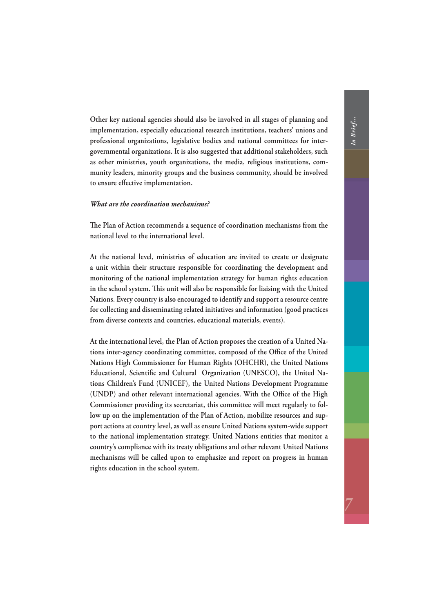**Other key national agencies should also be involved in all stages of planning and implementation, especially educational research institutions, teachers' unions and professional organizations, legislative bodies and national committees for intergovernmental organizations. It is also suggested that additional stakeholders, such as other ministries, youth organizations, the media, religious institutions, community leaders, minority groups and the business community, should be involved**  to ensure effective implementation.

#### *What are the coordination mechanisms?*

The Plan of Action recommends a sequence of coordination mechanisms from the **national level to the international level.**

**At the national level, ministries of education are invited to create or designate a unit within their structure responsible for coordinating the development and monitoring of the national implementation strategy for human rights education**  in the school system. This unit will also be responsible for liaising with the United **Nations. Every country is also encouraged to identify and support a resource centre for collecting and disseminating related initiatives and information (good practices from diverse contexts and countries, educational materials, events).**

**At the international level, the Plan of Action proposes the creation of a United Na**tions inter-agency coordinating committee, composed of the Office of the United **Nations High Commissioner for Human Rights (OHCHR), the United Nations**  Educational, Scientific and Cultural Organization (UNESCO), the United Na**tions Children's Fund (UNICEF), the United Nations Development Programme**  (UNDP) and other relevant international agencies. With the Office of the High **Commissioner providing its secretariat, this committee will meet regularly to follow up on the implementation of the Plan of Action, mobilize resources and support actions at country level, as well as ensure United Nations system-wide support to the national implementation strategy. United Nations entities that monitor a country's compliance with its treaty obligations and other relevant United Nations mechanisms will be called upon to emphasize and report on progress in human rights education in the school system.**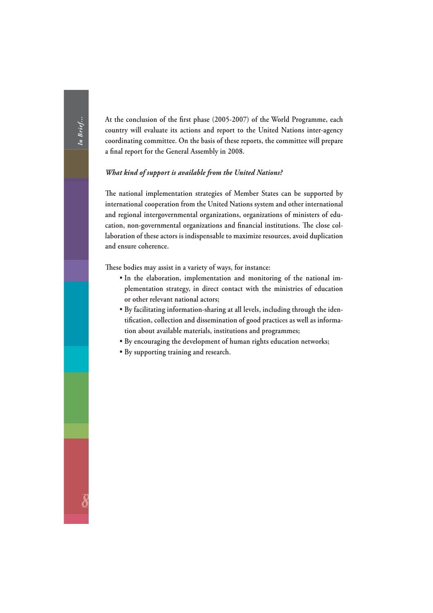At the conclusion of the first phase (2005-2007) of the World Programme, each **country will evaluate its actions and report to the United Nations inter-agency coordinating committee. On the basis of these reports, the committee will prepare**  a final report for the General Assembly in 2008.

#### *What kind of support is available from the United Nations?*

The national implementation strategies of Member States can be supported by **international cooperation from the United Nations system and other international and regional intergovernmental organizations, organizations of ministers of edu**cation, non-governmental organizations and financial institutions. The close col**laboration of these actors is indispensable to maximize resources, avoid duplication and ensure coherence.**

These bodies may assist in a variety of ways, for instance:

- **In the elaboration, implementation and monitoring of the national implementation strategy, in direct contact with the ministries of education or other relevant national actors;**
- **By facilitating information-sharing at all levels, including through the iden**tification, collection and dissemination of good practices as well as informa**tion about available materials, institutions and programmes;**
- **By encouraging the development of human rights education networks;**
- **By supporting training and research.**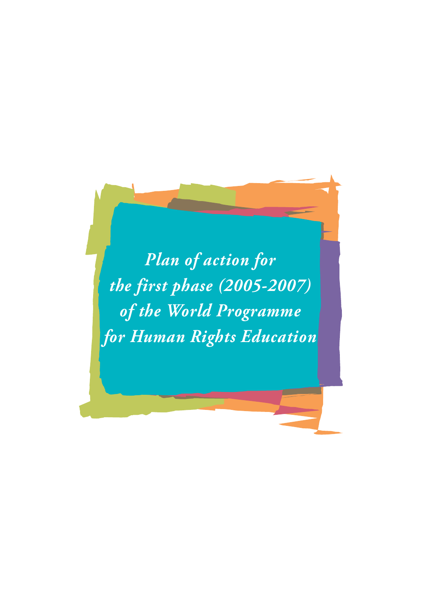<span id="page-13-0"></span>*Plan of action for the first phase (2005-2007) of the World Programme for Human Rights Education*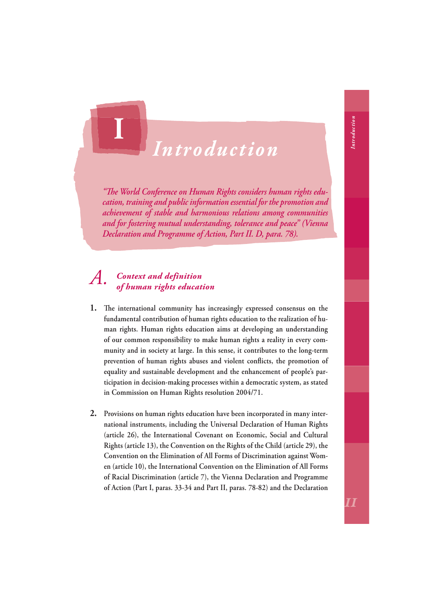# *Introduction*

"The World Conference on Human Rights considers human rights edu*cation, training and public information essential for the promotion and achievement of stable and harmonious relations among communities and for fostering mutual understanding, tolerance and peace" (Vienna Declaration and Programme of Action, Part II. D, para. 78).*

#### *A. Context and definition of human rights education*

<span id="page-14-0"></span>**I**

- **1.** The international community has increasingly expressed consensus on the **fundamental contribution of human rights education to the realization of human rights. Human rights education aims at developing an understanding of our common responsibility to make human rights a reality in every community and in society at large. In this sense, it contributes to the long-term**  prevention of human rights abuses and violent conflicts, the promotion of **equality and sustainable development and the enhancement of people's participation in decision-making processes within a democratic system, as stated in Commission on Human Rights resolution 2004/71.**
- **2. Provisions on human rights education have been incorporated in many international instruments, including the Universal Declaration of Human Rights (article 26), the International Covenant on Economic, Social and Cultural Rights (article 13), the Convention on the Rights of the Child (article 29), the Convention on the Elimination of All Forms of Discrimination against Women (article 10), the International Convention on the Elimination of All Forms of Racial Discrimination (article 7), the Vienna Declaration and Programme of Action (Part I, paras. 33-34 and Part II, paras. 78-82) and the Declaration**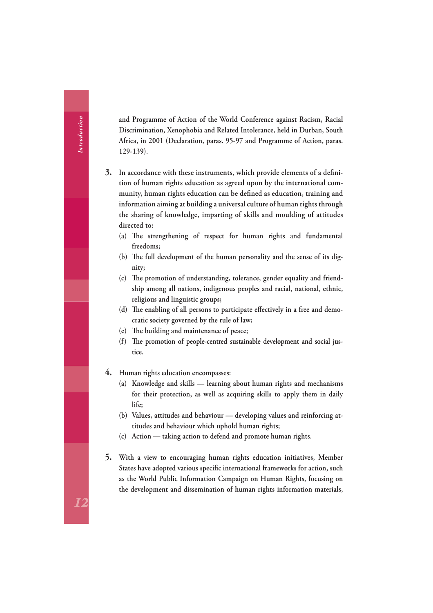**and Programme of Action of the World Conference against Racism, Racial Discrimination, Xenophobia and Related Intolerance, held in Durban, South Africa, in 2001 (Declaration, paras. 95-97 and Programme of Action, paras. 129-139).**

- 3. In accordance with these instruments, which provide elements of a defini**tion of human rights education as agreed upon by the international com**munity, human rights education can be defined as education, training and **information aiming at building a universal culture of human rights through the sharing of knowledge, imparting of skills and moulding of attitudes directed to:**
	- (a) The strengthening of respect for human rights and fundamental **freedoms;**
	- (b) The full development of the human personality and the sense of its dig**nity;**
	- (c) The promotion of understanding, tolerance, gender equality and friend**ship among all nations, indigenous peoples and racial, national, ethnic, religious and linguistic groups;**
	- (d) The enabling of all persons to participate effectively in a free and demo**cratic society governed by the rule of law;**
	- (e) The building and maintenance of peace;
	- (f) The promotion of people-centred sustainable development and social jus**tice.**
- **4. Human rights education encompasses:** 
	- **(a) Knowledge and skills learning about human rights and mechanisms for their protection, as well as acquiring skills to apply them in daily life;**
	- **(b) Values, attitudes and behaviour developing values and reinforcing attitudes and behaviour which uphold human rights;**
	- **(c) Action taking action to defend and promote human rights.**
- **5. With a view to encouraging human rights education initiatives, Member**  States have adopted various specific international frameworks for action, such **as the World Public Information Campaign on Human Rights, focusing on the development and dissemination of human rights information materials,**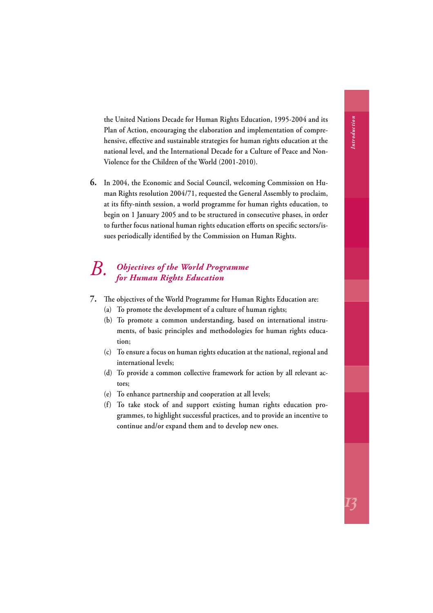<span id="page-16-0"></span>**the United Nations Decade for Human Rights Education, 1995-2004 and its Plan of Action, encouraging the elaboration and implementation of compre**hensive, effective and sustainable strategies for human rights education at the **national level, and the International Decade for a Culture of Peace and Non-Violence for the Children of the World (2001-2010).**

**6. In 2004, the Economic and Social Council, welcoming Commission on Human Rights resolution 2004/71, requested the General Assembly to proclaim,**  at its fifty-ninth session, a world programme for human rights education, to **begin on 1 January 2005 and to be structured in consecutive phases, in order**  to further focus national human rights education efforts on specific sectors/issues periodically identified by the Commission on Human Rights.

# *B. Objectives of the World Programme for Human Rights Education*

- **7. Th e objectives of the World Programme for Human Rights Education are:**
	- **(a) To promote the development of a culture of human rights;**
	- **(b) To promote a common understanding, based on international instruments, of basic principles and methodologies for human rights education;**
	- **(c) To ensure a focus on human rights education at the national, regional and international levels;**
	- **(d) To provide a common collective framework for action by all relevant actors;**
	- **(e) To enhance partnership and cooperation at all levels;**
	- **(f) To take stock of and support existing human rights education programmes, to highlight successful practices, and to provide an incentive to continue and/or expand them and to develop new ones.**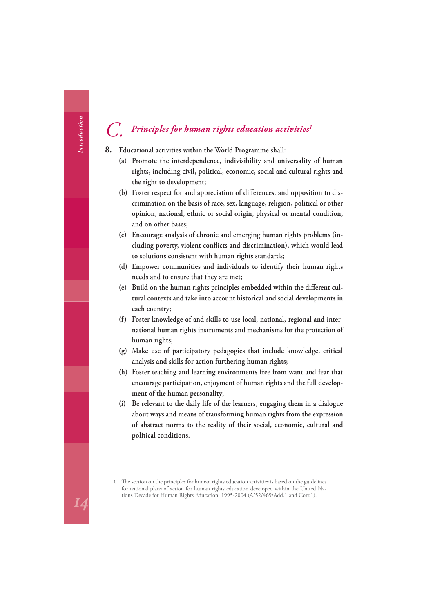#### <span id="page-17-0"></span>*C. Principles for human rights education activities1*

- **8. Educational activities within the World Programme shall:**
	- **(a) Promote the interdependence, indivisibility and universality of human rights, including civil, political, economic, social and cultural rights and the right to development;**
	- (b) Foster respect for and appreciation of differences, and opposition to dis**crimination on the basis of race, sex, language, religion, political or other opinion, national, ethnic or social origin, physical or mental condition, and on other bases;**
	- **(c) Encourage analysis of chronic and emerging human rights problems (in**cluding poverty, violent conflicts and discrimination), which would lead **to solutions consistent with human rights standards;**
	- **(d) Empower communities and individuals to identify their human rights needs and to ensure that they are met;**
	- (e) Build on the human rights principles embedded within the different cul**tural contexts and take into account historical and social developments in each country;**
	- **(f) Foster knowledge of and skills to use local, national, regional and international human rights instruments and mechanisms for the protection of human rights;**
	- **(g) Make use of participatory pedagogies that include knowledge, critical analysis and skills for action furthering human rights;**
	- **(h) Foster teaching and learning environments free from want and fear that encourage participation, enjoyment of human rights and the full development of the human personality;**
	- **(i) Be relevant to the daily life of the learners, engaging them in a dialogue about ways and means of transforming human rights from the expression of abstract norms to the reality of their social, economic, cultural and political conditions.**

<sup>1.</sup> The section on the principles for human rights education activities is based on the guidelines for national plans of action for human rights education developed within the United Nations Decade for Human Rights Education, 1995-2004 (A/52/469/Add.1 and Corr.1).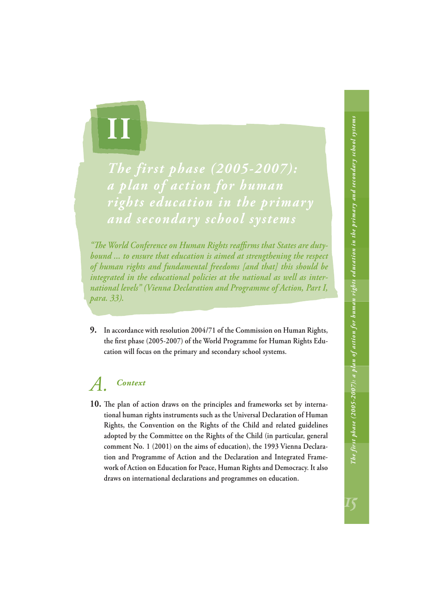<span id="page-18-0"></span>

*The first phase (2005-2007): a plan of action for human rights education in the primary and secondary school systems*

"The World Conference on Human Rights reaffirms that States are duty*bound ... to ensure that education is aimed at strengthening the respect of human rights and fundamental freedoms [and that] this should be integrated in the educational policies at the national as well as international levels" (Vienna Declaration and Programme of Action, Part I, para. 33).*

**9. In accordance with resolution 2004/71 of the Commission on Human Rights,**  the first phase (2005-2007) of the World Programme for Human Rights Edu**cation will focus on the primary and secondary school systems.**

## *A. Context*

10. The plan of action draws on the principles and frameworks set by interna**tional human rights instruments such as the Universal Declaration of Human Rights, the Convention on the Rights of the Child and related guidelines adopted by the Committee on the Rights of the Child (in particular, general comment No. 1 (2001) on the aims of education), the 1993 Vienna Declaration and Programme of Action and the Declaration and Integrated Framework of Action on Education for Peace, Human Rights and Democracy. It also draws on international declarations and programmes on education.**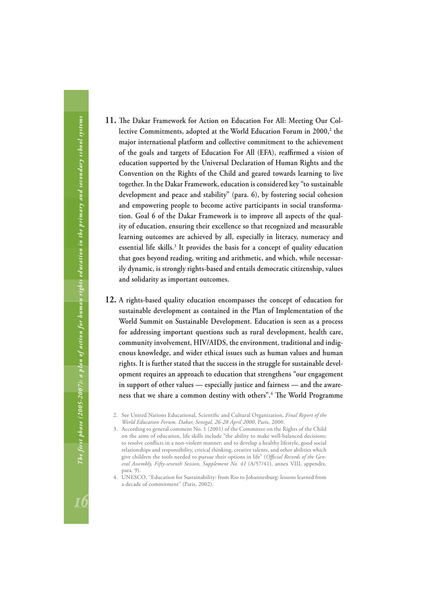- 11. The Dakar Framework for Action on Education For All: Meeting Our Collective Commitments, adopted at the World Education Forum in 2000,<sup>2</sup> the **major international platform and collective commitment to the achievement**  of the goals and targets of Education For All (EFA), reaffirmed a vision of **education supported by the Universal Declaration of Human Rights and the Convention on the Rights of the Child and geared towards learning to live together. In the Dakar Framework, education is considered key "to sustainable development and peace and stability" (para. 6), by fostering social cohesion and empowering people to become active participants in social transformation. Goal 6 of the Dakar Framework is to improve all aspects of the quality of education, ensuring their excellence so that recognized and measurable learning outcomes are achieved by all, especially in literacy, numeracy and essential life skills.3 It provides the basis for a concept of quality education that goes beyond reading, writing and arithmetic, and which, while necessarily dynamic, is strongly rights-based and entails democratic citizenship, values and solidarity as important outcomes.**
- **12. A rights-based quality education encompasses the concept of education for sustainable development as contained in the Plan of Implementation of the World Summit on Sustainable Development. Education is seen as a process for addressing important questions such as rural development, health care, community involvement, HIV/AIDS, the environment, traditional and indigenous knowledge, and wider ethical issues such as human values and human rights. It is further stated that the success in the struggle for sustainable development requires an approach to education that strengthens "our engagement in support of other values — especially justice and fairness — and the aware**ness that we share a common destiny with others".<sup>4</sup> The World Programme
	- 2. See United Nations Educational, Scientific and Cultural Organization, *Final Report of the World Education Forum, Dakar, Senegal, 26-28 April 2000*, Paris, 2000.
	- 3. According to general comment No. 1 (2001) of the Committee on the Rights of the Child on the aims of education, life skills include "the ability to make well-balanced decisions; to resolve conflicts in a non-violent manner; and to develop a healthy lifestyle, good social relationships and responsibility, critical thinking, creative talents, and other abilities which give children the tools needed to pursue their options in life" (Official Records of the Gen*eral Assembly, Fifty-seventh Session, Supplement No. 41* (A/57/41), annex VIII, appendix, para. 9).
	- 4. UNESCO, "Education for Sustainability: from Rio to Johannesburg: lessons learned from a decade of commitment" (Paris, 2002).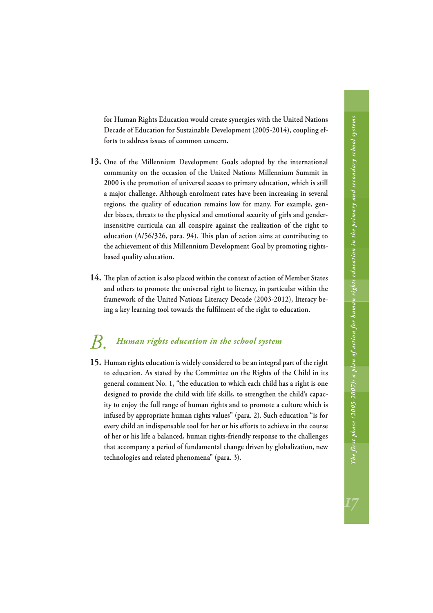<span id="page-20-0"></span>**for Human Rights Education would create synergies with the United Nations Decade of Education for Sustainable Development (2005-2014), coupling efforts to address issues of common concern.**

- **13. One of the Millennium Development Goals adopted by the international community on the occasion of the United Nations Millennium Summit in 2000 is the promotion of universal access to primary education, which is still a major challenge. Although enrolment rates have been increasing in several regions, the quality of education remains low for many. For example, gender biases, threats to the physical and emotional security of girls and genderinsensitive curricula can all conspire against the realization of the right to**  education (A/56/326, para. 94). This plan of action aims at contributing to **the achievement of this Millennium Development Goal by promoting rightsbased quality education.**
- 14. The plan of action is also placed within the context of action of Member States **and others to promote the universal right to literacy, in particular within the framework of the United Nations Literacy Decade (2003-2012), literacy be**ing a key learning tool towards the fulfilment of the right to education.

## *B. Human rights education in the school system*

**15. Human rights education is widely considered to be an integral part of the right to education. As stated by the Committee on the Rights of the Child in its general comment No. 1, "the education to which each child has a right is one designed to provide the child with life skills, to strengthen the child's capacity to enjoy the full range of human rights and to promote a culture which is infused by appropriate human rights values" (para. 2). Such education "is for**  every child an indispensable tool for her or his efforts to achieve in the course **of her or his life a balanced, human rights-friendly response to the challenges that accompany a period of fundamental change driven by globalization, new technologies and related phenomena" (para. 3).**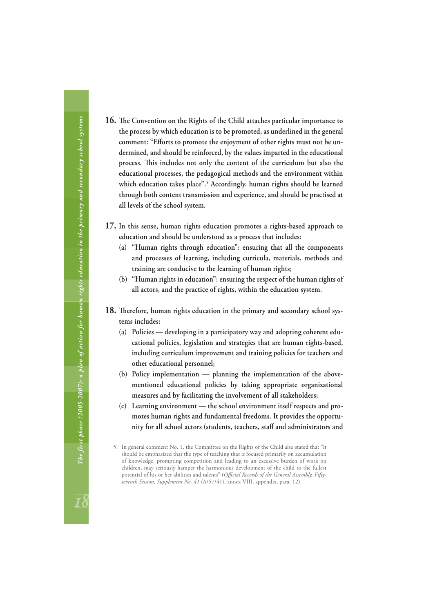- 16. The Convention on the Rights of the Child attaches particular importance to **the process by which education is to be promoted, as underlined in the general**  comment: "Efforts to promote the enjoyment of other rights must not be un**dermined, and should be reinforced, by the values imparted in the educational**  process. This includes not only the content of the curriculum but also the **educational processes, the pedagogical methods and the environment within which education takes place".5 Accordingly, human rights should be learned through both content transmission and experience, and should be practised at all levels of the school system.**
- **17. In this sense, human rights education promotes a rights-based approach to education and should be understood as a process that includes:**
	- **(a) "Human rights through education": ensuring that all the components and processes of learning, including curricula, materials, methods and training are conducive to the learning of human rights;**
	- **(b) "Human rights in education": ensuring the respect of the human rights of all actors, and the practice of rights, within the education system.**
- 18. Therefore, human rights education in the primary and secondary school sys**tems includes:**
	- **(a) Policies developing in a participatory way and adopting coherent educational policies, legislation and strategies that are human rights-based, including curriculum improvement and training policies for teachers and other educational personnel;**
	- **(b) Policy implementation planning the implementation of the abovementioned educational policies by taking appropriate organizational measures and by facilitating the involvement of all stakeholders;**
	- **(c) Learning environment the school environment itself respects and promotes human rights and fundamental freedoms. It provides the opportunity for all school actors (students, teachers, staff and administrators and**

<sup>5.</sup> In general comment No. 1, the Committee on the Rights of the Child also stated that "it should be emphasized that the type of teaching that is focused primarily on accumulation of knowledge, prompting competition and leading to an excessive burden of work on children, may seriously hamper the harmonious development of the child to the fullest potential of his or her abilities and talents" (Official Records of the General Assembly, Fifty*seventh Session, Supplement No. 41* (A/57/41), annex VIII, appendix, para. 12).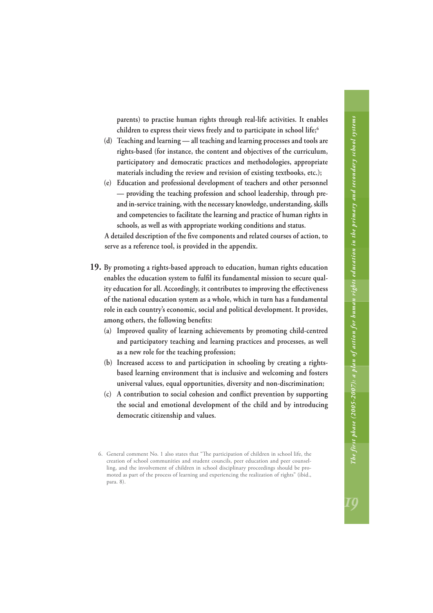**parents) to practise human rights through real-life activities. It enables children to express their views freely and to participate in school life;6**

- **(d) Teaching and learning all teaching and learning processes and tools are rights-based (for instance, the content and objectives of the curriculum, participatory and democratic practices and methodologies, appropriate materials including the review and revision of existing textbooks, etc.);**
- **(e) Education and professional development of teachers and other personnel — providing the teaching profession and school leadership, through preand in-service training, with the necessary knowledge, understanding, skills and competencies to facilitate the learning and practice of human rights in schools, as well as with appropriate working conditions and status.**

A detailed description of the five components and related courses of action, to **serve as a reference tool, is provided in the appendix.**

- **19. By promoting a rights-based approach to education, human rights education**  enables the education system to fulfil its fundamental mission to secure quality education for all. Accordingly, it contributes to improving the effectiveness **of the national education system as a whole, which in turn has a fundamental role in each country's economic, social and political development. It provides,**  among others, the following benefits:
	- **(a) Improved quality of learning achievements by promoting child-centred and participatory teaching and learning practices and processes, as well as a new role for the teaching profession;**
	- **(b) Increased access to and participation in schooling by creating a rightsbased learning environment that is inclusive and welcoming and fosters universal values, equal opportunities, diversity and non-discrimination;**
	- (c) A contribution to social cohesion and conflict prevention by supporting **the social and emotional development of the child and by introducing democratic citizenship and values.**

<sup>6.</sup> General comment No. 1 also states that "The participation of children in school life, the creation of school communities and student councils, peer education and peer counselling, and the involvement of children in school disciplinary proceedings should be promoted as part of the process of learning and experiencing the realization of rights" (ibid., para. 8).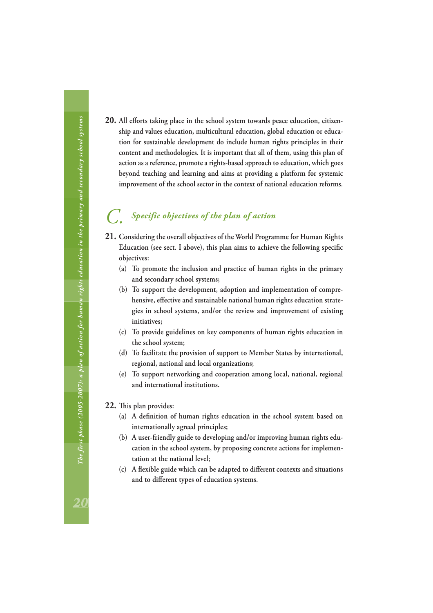<span id="page-23-0"></span>**20.** All efforts taking place in the school system towards peace education, citizen**ship and values education, multicultural education, global education or education for sustainable development do include human rights principles in their content and methodologies. It is important that all of them, using this plan of action as a reference, promote a rights-based approach to education, which goes beyond teaching and learning and aims at providing a platform for systemic improvement of the school sector in the context of national education reforms.**

## *C. Specific objectives of the plan of action*

- **21. Considering the overall objectives of the World Programme for Human Rights**  Education (see sect. I above), this plan aims to achieve the following specific **objectives:**
	- **(a) To promote the inclusion and practice of human rights in the primary and secondary school systems;**
	- **(b) To support the development, adoption and implementation of compre**hensive, effective and sustainable national human rights education strate**gies in school systems, and/or the review and improvement of existing initiatives;**
	- **(c) To provide guidelines on key components of human rights education in the school system;**
	- **(d) To facilitate the provision of support to Member States by international, regional, national and local organizations;**
	- **(e) To support networking and cooperation among local, national, regional and international institutions.**
- 22. This plan provides:
	- (a) A definition of human rights education in the school system based on **internationally agreed principles;**
	- **(b) A user-friendly guide to developing and/or improving human rights education in the school system, by proposing concrete actions for implementation at the national level;**
	- (c) A flexible guide which can be adapted to different contexts and situations and to different types of education systems.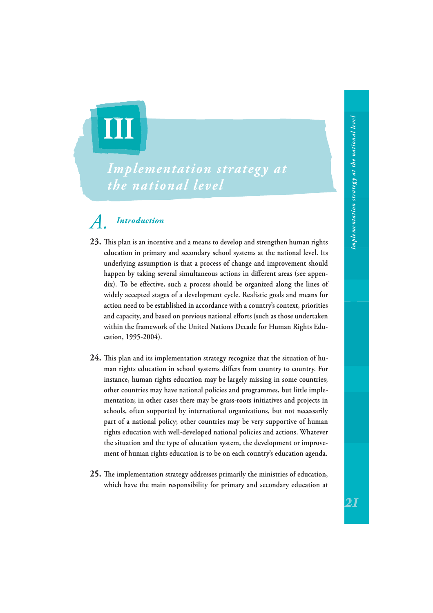<span id="page-24-0"></span>

## *Implementation strategy at the national level*

## *A. Introduction*

- **23. Th is plan is an incentive and a means to develop and strengthen human rights education in primary and secondary school systems at the national level. Its underlying assumption is that a process of change and improvement should**  happen by taking several simultaneous actions in different areas (see appendix). To be effective, such a process should be organized along the lines of **widely accepted stages of a development cycle. Realistic goals and means for action need to be established in accordance with a country's context, priorities**  and capacity, and based on previous national efforts (such as those undertaken **within the framework of the United Nations Decade for Human Rights Education, 1995-2004).**
- 24. This plan and its implementation strategy recognize that the situation of human rights education in school systems differs from country to country. For **instance, human rights education may be largely missing in some countries; other countries may have national policies and programmes, but little implementation; in other cases there may be grass-roots initiatives and projects in schools, often supported by international organizations, but not necessarily part of a national policy; other countries may be very supportive of human rights education with well-developed national policies and actions. Whatever the situation and the type of education system, the development or improvement of human rights education is to be on each country's education agenda.**
- 25. The implementation strategy addresses primarily the ministries of education, **which have the main responsibility for primary and secondary education at**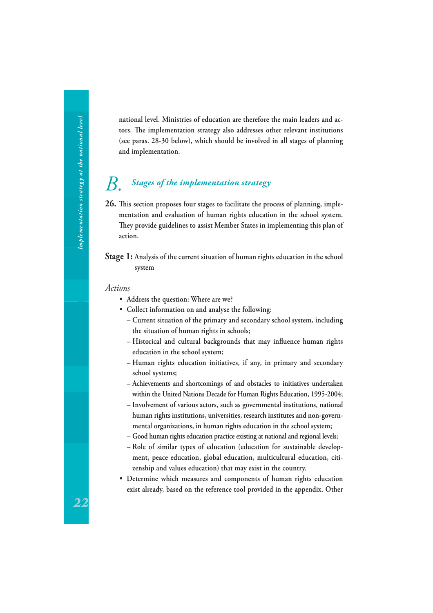<span id="page-25-0"></span>**national level. Ministries of education are therefore the main leaders and ac**tors. The implementation strategy also addresses other relevant institutions **(see paras. 28-30 below), which should be involved in all stages of planning and implementation.**

## *B. Stages of the implementation strategy*

26. This section proposes four stages to facilitate the process of planning, implementation and evaluation of human rights education in the school system.<br>They provide guidelines to assist Member States in implementing this plan of **action.**

#### **Stage 1: Analysis of the current situation of human rights education in the school system**

#### *Actions*

- **Address the question: Where are we?**
- **Collect information on and analyse the following:**
	- **Current situation of the primary and secondary school system, including the situation of human rights in schools;**
	- Historical and cultural backgrounds that may influence human rights **education in the school system;**
	- **Human rights education initiatives, if any, in primary and secondary school systems;**
	- **Achievements and shortcomings of and obstacles to initiatives undertaken within the United Nations Decade for Human Rights Education, 1995-2004;**
	- **Involvement of various actors, such as governmental institutions, national human rights institutions, universities, research institutes and non-governmental organizations, in human rights education in the school system;**
	- **Good human rights education practice existing at national and regional levels;**
	- **Role of similar types of education (education for sustainable development, peace education, global education, multicultural education, citizenship and values education) that may exist in the country.**
- **Determine which measures and components of human rights education exist already, based on the reference tool provided in the appendix. Other**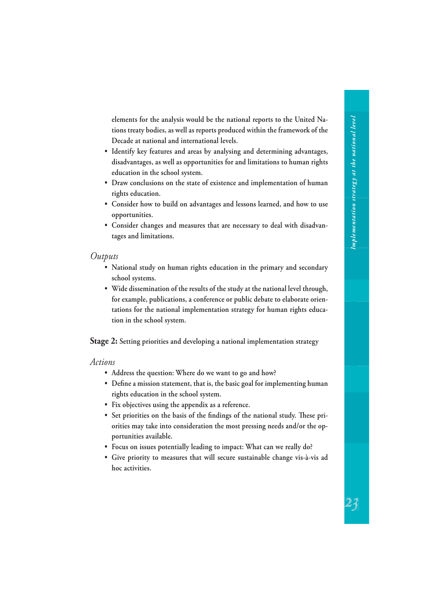**elements for the analysis would be the national reports to the United Nations treaty bodies, as well as reports produced within the framework of the Decade at national and international levels.**

- **Identify key features and areas by analysing and determining advantages, disadvantages, as well as opportunities for and limitations to human rights education in the school system.**
- **Draw conclusions on the state of existence and implementation of human rights education.**
- **Consider how to build on advantages and lessons learned, and how to use opportunities.**
- **Consider changes and measures that are necessary to deal with disadvantages and limitations.**

#### *Outputs*

- **National study on human rights education in the primary and secondary school systems.**
- **Wide dissemination of the results of the study at the national level through, for example, publications, a conference or public debate to elaborate orientations for the national implementation strategy for human rights education in the school system.**

**Stage 2: Setting priorities and developing a national implementation strategy**

*Actions*

- **Address the question: Where do we want to go and how?**
- Define a mission statement, that is, the basic goal for implementing human **rights education in the school system.**
- **Fix objectives using the appendix as a reference.**
- Set priorities on the basis of the findings of the national study. These pri**orities may take into consideration the most pressing needs and/or the opportunities available.**
- **Focus on issues potentially leading to impact: What can we really do?**
- **Give priority to measures that will secure sustainable change vis-à-vis ad hoc activities.**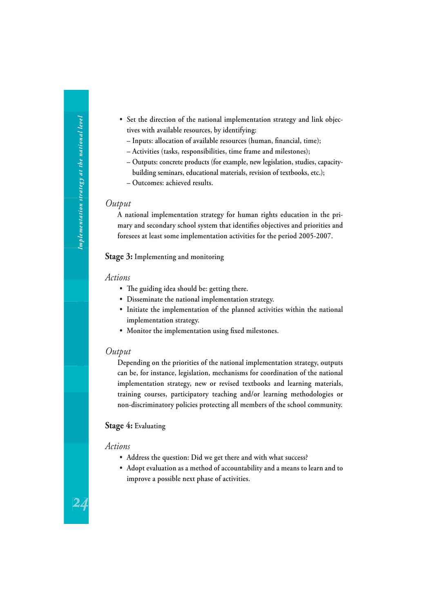- **Set the direction of the national implementation strategy and link objectives with available resources, by identifying: - Inputs: allocation of available resources (human, financial, time); – Activities (tasks, responsibilities, time frame and milestones); – Outputs: concrete products (for example, new legislation, studies, capacitybuilding seminars, educational materials, revision of textbooks, etc.); – Outcomes: achieved results.**
	- *Output*

**A national implementation strategy for human rights education in the pri**mary and secondary school system that identifies objectives and priorities and **foresees at least some implementation activities for the period 2005-2007.**

#### **Stage 3: Implementing and monitoring**

#### *Actions*

- The guiding idea should be: getting there.
- **Disseminate the national implementation strategy.**
- **Initiate the implementation of the planned activities within the national implementation strategy.**
- Monitor the implementation using fixed milestones.

#### *Output*

**Depending on the priorities of the national implementation strategy, outputs can be, for instance, legislation, mechanisms for coordination of the national implementation strategy, new or revised textbooks and learning materials, training courses, participatory teaching and/or learning methodologies or non-discriminatory policies protecting all members of the school community.**

#### **Stage 4: Evaluating**

#### *Actions*

24

- **Address the question: Did we get there and with what success?**
- **Adopt evaluation as a method of accountability and a means to learn and to improve a possible next phase of activities.**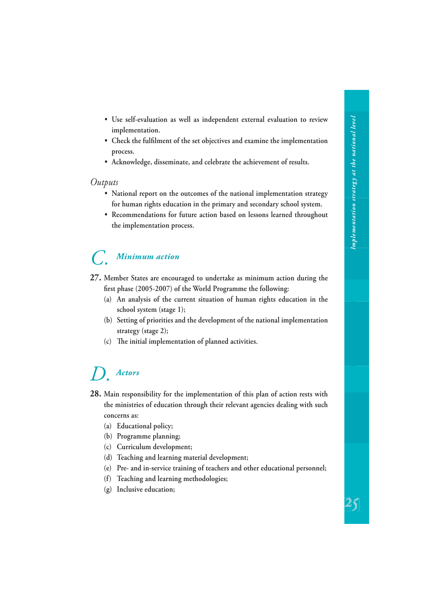- <span id="page-28-0"></span> **• Use self-evaluation as well as independent external evaluation to review implementation.**
- Check the fulfilment of the set objectives and examine the implementation **process.**
- **Acknowledge, disseminate, and celebrate the achievement of results.**

#### *Outputs*

- **National report on the outcomes of the national implementation strategy for human rights education in the primary and secondary school system.**
- **Recommendations for future action based on lessons learned throughout the implementation process.**

## *C. Minimum action*

- **27. Member States are encouraged to undertake as minimum action during the**  first phase (2005-2007) of the World Programme the following:
	- **(a) An analysis of the current situation of human rights education in the school system (stage 1);**
	- **(b) Setting of priorities and the development of the national implementation strategy (stage 2);**
	- (c) The initial implementation of planned activities.

## *D. Actors*

- **28. Main responsibility for the implementation of this plan of action rests with the ministries of education through their relevant agencies dealing with such concerns as:**
	- **(a) Educational policy;**
	- **(b) Programme planning;**
	- **(c) Curriculum development;**
	- **(d) Teaching and learning material development;**
	- **(e) Pre- and in-service training of teachers and other educational personnel;**
	- **(f) Teaching and learning methodologies;**
	- **(g) Inclusive education;**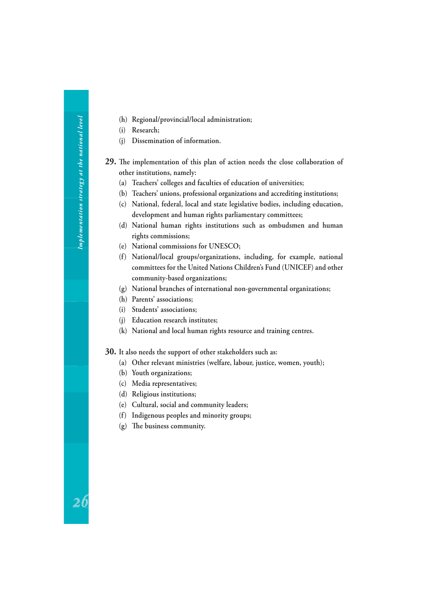- **(h) Regional/provincial/local administration;**
- **(i) Research;**
- **(j) Dissemination of information.**
- **29.** The implementation of this plan of action needs the close collaboration of **other institutions, namely:**
	- **(a) Teachers' colleges and faculties of education of universities;**
	- **(b) Teachers' unions, professional organizations and accrediting institutions;**
	- **(c) National, federal, local and state legislative bodies, including education, development and human rights parliamentary committees;**
	- **(d) National human rights institutions such as ombudsmen and human rights commissions;**
	- **(e) National commissions for UNESCO;**
	- **(f) National/local groups/organizations, including, for example, national committees for the United Nations Children's Fund (UNICEF) and other community-based organizations;**
	- **(g) National branches of international non-governmental organizations;**
	- **(h) Parents' associations;**
	- **(i) Students' associations;**
	- **(j) Education research institutes;**
	- **(k) National and local human rights resource and training centres.**
- **30. It also needs the support of other stakeholders such as:** 
	- **(a) Other relevant ministries (welfare, labour, justice, women, youth);**
	- **(b) Youth organizations;**
	- **(c) Media representatives;**
	- **(d) Religious institutions;**
	- **(e) Cultural, social and community leaders;**
	- **(f) Indigenous peoples and minority groups;**
	- (g) The business community.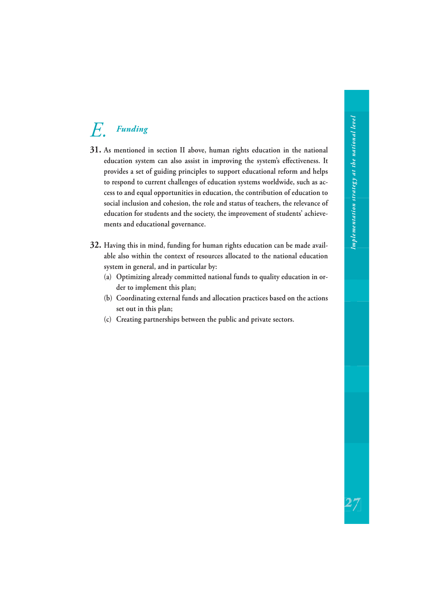## <span id="page-30-0"></span>*E. Funding*

- **31. As mentioned in section II above, human rights education in the national**  education system can also assist in improving the system's effectiveness. It **provides a set of guiding principles to support educational reform and helps to respond to current challenges of education systems worldwide, such as access to and equal opportunities in education, the contribution of education to social inclusion and cohesion, the role and status of teachers, the relevance of education for students and the society, the improvement of students' achievements and educational governance.**
- **32. Having this in mind, funding for human rights education can be made available also within the context of resources allocated to the national education system in general, and in particular by:**
	- **(a) Optimizing already committed national funds to quality education in order to implement this plan;**
	- **(b) Coordinating external funds and allocation practices based on the actions set out in this plan;**
	- **(c) Creating partnerships between the public and private sectors.**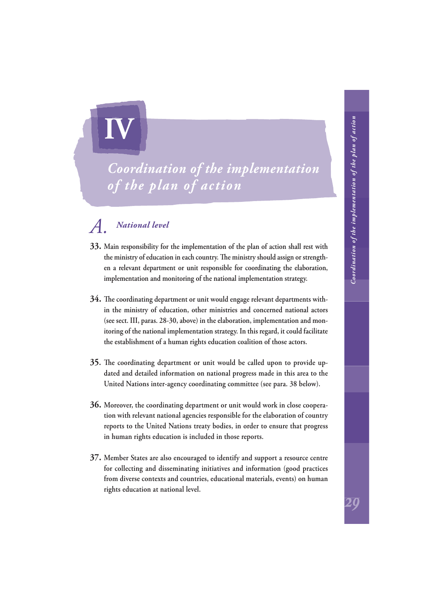<span id="page-31-0"></span>

## *Coordination of the implementation of the plan of action*

## *A. National level*

- **33. Main responsibility for the implementation of the plan of action shall rest with**  the ministry of education in each country. The ministry should assign or strength**en a relevant department or unit responsible for coordinating the elaboration, implementation and monitoring of the national implementation strategy.**
- **34.** The coordinating department or unit would engage relevant departments with**in the ministry of education, other ministries and concerned national actors (see sect. III, paras. 28-30, above) in the elaboration, implementation and monitoring of the national implementation strategy. In this regard, it could facilitate the establishment of a human rights education coalition of those actors.**
- **35.** The coordinating department or unit would be called upon to provide up**dated and detailed information on national progress made in this area to the United Nations inter-agency coordinating committee (see para. 38 below).**
- **36. Moreover, the coordinating department or unit would work in close cooperation with relevant national agencies responsible for the elaboration of country reports to the United Nations treaty bodies, in order to ensure that progress in human rights education is included in those reports.**
- **37. Member States are also encouraged to identify and support a resource centre for collecting and disseminating initiatives and information (good practices from diverse contexts and countries, educational materials, events) on human rights education at national level.**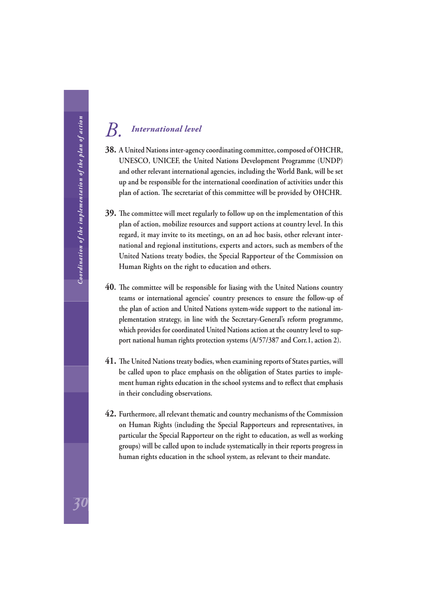## <span id="page-32-0"></span>*B. International level*

- **38. A United Nations inter-agency coordinating committee, composed of OHCHR, UNESCO, UNICEF, the United Nations Development Programme (UNDP) and other relevant international agencies, including the World Bank, will be set up and be responsible for the international coordination of activities under this**  plan of action. The secretariat of this committee will be provided by OHCHR.
- **39.** The committee will meet regularly to follow up on the implementation of this **plan of action, mobilize resources and support actions at country level. In this regard, it may invite to its meetings, on an ad hoc basis, other relevant international and regional institutions, experts and actors, such as members of the United Nations treaty bodies, the Special Rapporteur of the Commission on Human Rights on the right to education and others.**
- **40.** The committee will be responsible for liasing with the United Nations country **teams or international agencies' country presences to ensure the follow-up of the plan of action and United Nations system-wide support to the national implementation strategy, in line with the Secretary-General's reform programme, which provides for coordinated United Nations action at the country level to support national human rights protection systems (A/57/387 and Corr.1, action 2).**
- **41.** The United Nations treaty bodies, when examining reports of States parties, will **be called upon to place emphasis on the obligation of States parties to imple**ment human rights education in the school systems and to reflect that emphasis **in their concluding observations.**
- **42. Furthermore, all relevant thematic and country mechanisms of the Commission on Human Rights (including the Special Rapporteurs and representatives, in particular the Special Rapporteur on the right to education, as well as working groups) will be called upon to include systematically in their reports progress in human rights education in the school system, as relevant to their mandate.**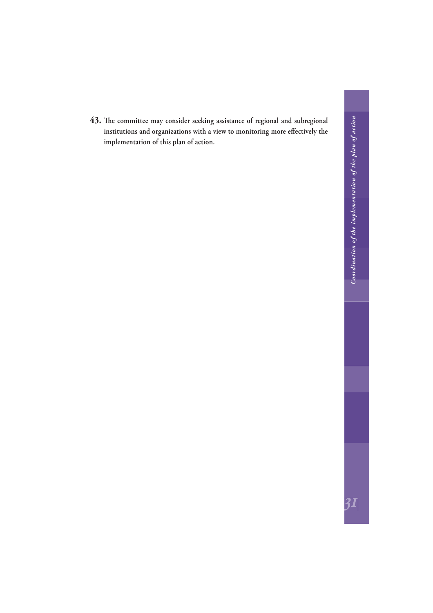43. The committee may consider seeking assistance of regional and subregional institutions and organizations with a view to monitoring more effectively the **implementation of this plan of action.**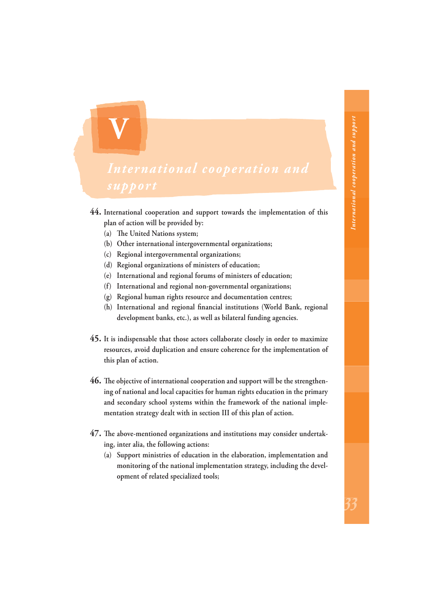**44. International cooperation and support towards the implementation of this plan of action will be provided by:** 

(a) The United Nations system;

<span id="page-34-0"></span>**V**

- **(b) Other international intergovernmental organizations;**
- **(c) Regional intergovernmental organizations;**
- **(d) Regional organizations of ministers of education;**
- **(e) International and regional forums of ministers of education;**
- **(f) International and regional non-governmental organizations;**
- **(g) Regional human rights resource and documentation centres;**
- (h) International and regional financial institutions (World Bank, regional **development banks, etc.), as well as bilateral funding agencies.**
- **45. It is indispensable that those actors collaborate closely in order to maximize resources, avoid duplication and ensure coherence for the implementation of this plan of action.**
- **46.** The objective of international cooperation and support will be the strengthen**ing of national and local capacities for human rights education in the primary and secondary school systems within the framework of the national implementation strategy dealt with in section III of this plan of action.**
- 47. The above-mentioned organizations and institutions may consider undertak**ing, inter alia, the following actions:**
	- **(a) Support ministries of education in the elaboration, implementation and monitoring of the national implementation strategy, including the development of related specialized tools;**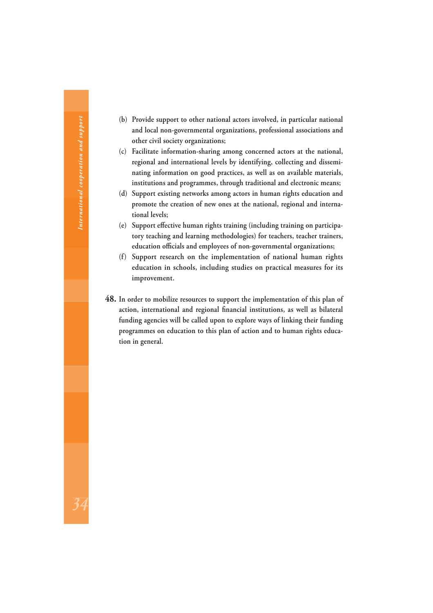- **(b) Provide support to other national actors involved, in particular national and local non-governmental organizations, professional associations and other civil society organizations;**
- **(c) Facilitate information-sharing among concerned actors at the national, regional and international levels by identifying, collecting and disseminating information on good practices, as well as on available materials, institutions and programmes, through traditional and electronic means;**
- **(d) Support existing networks among actors in human rights education and promote the creation of new ones at the national, regional and international levels;**
- (e) Support effective human rights training (including training on participa**tory teaching and learning methodologies) for teachers, teacher trainers,**  education officials and employees of non-governmental organizations;
- **(f) Support research on the implementation of national human rights education in schools, including studies on practical measures for its improvement.**
- **48. In order to mobilize resources to support the implementation of this plan of**  action, international and regional financial institutions, as well as bilateral **funding agencies will be called upon to explore ways of linking their funding programmes on education to this plan of action and to human rights education in general.**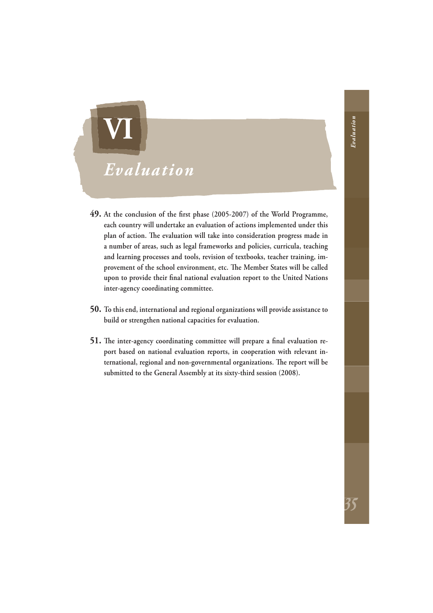# <span id="page-36-0"></span>*Evaluation* **VI**

- **49.** At the conclusion of the first phase (2005-2007) of the World Programme, **each country will undertake an evaluation of actions implemented under this**  plan of action. The evaluation will take into consideration progress made in **a number of areas, such as legal frameworks and policies, curricula, teaching and learning processes and tools, revision of textbooks, teacher training, im**provement of the school environment, etc. The Member States will be called upon to provide their final national evaluation report to the United Nations **inter-agency coordinating committee.**
- **50. To this end, international and regional organizations will provide assistance to build or strengthen national capacities for evaluation.**
- **51.** The inter-agency coordinating committee will prepare a final evaluation re**port based on national evaluation reports, in cooperation with relevant in**ternational, regional and non-governmental organizations. The report will be **submitted to the General Assembly at its sixty-third session (2008).**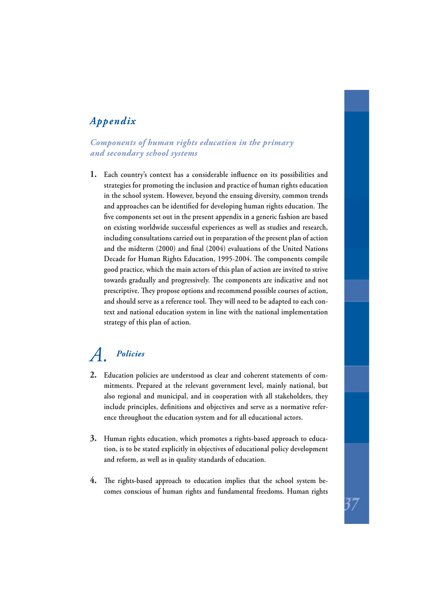## <span id="page-37-0"></span>*Appendix*

#### *Components of human rights education in the primary and secondary school systems*

1. Each country's context has a considerable influence on its possibilities and **strategies for promoting the inclusion and practice of human rights education in the school system. However, beyond the ensuing diversity, common trends**  and approaches can be identified for developing human rights education. The five components set out in the present appendix in a generic fashion are based **on existing worldwide successful experiences as well as studies and research, including consultations carried out in preparation of the present plan of action**  and the midterm (2000) and final (2004) evaluations of the United Nations Decade for Human Rights Education, 1995-2004. The components compile **good practice, which the main actors of this plan of action are invited to strive**  towards gradually and progressively. The components are indicative and not prescriptive. They propose options and recommend possible courses of action, and should serve as a reference tool. They will need to be adapted to each con**text and national education system in line with the national implementation strategy of this plan of action.**

## *A. Policies*

- **2. Education policies are understood as clear and coherent statements of commitments. Prepared at the relevant government level, mainly national, but also regional and municipal, and in cooperation with all stakeholders, they**  include principles, definitions and objectives and serve as a normative refer**ence throughout the education system and for all educational actors.**
- **3. Human rights education, which promotes a rights-based approach to education, is to be stated explicitly in objectives of educational policy development and reform, as well as in quality standards of education.**
- 4. The rights-based approach to education implies that the school system be**comes conscious of human rights and fundamental freedoms. Human rights**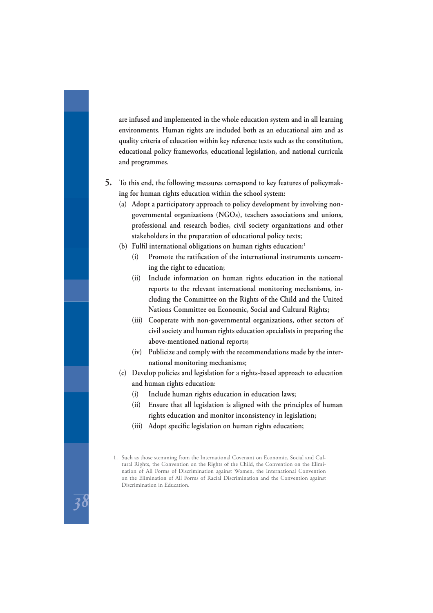**are infused and implemented in the whole education system and in all learning environments. Human rights are included both as an educational aim and as quality criteria of education within key reference texts such as the constitution, educational policy frameworks, educational legislation, and national curricula and programmes.**

- **5. To this end, the following measures correspond to key features of policymaking for human rights education within the school system:**
	- **(a) Adopt a participatory approach to policy development by involving nongovernmental organizations (NGOs), teachers associations and unions, professional and research bodies, civil society organizations and other stakeholders in the preparation of educational policy texts;**
	- (b) Fulfil international obligations on human rights education:<sup>1</sup>
		- (i) Promote the ratification of the international instruments concern**ing the right to education;**
		- **(ii) Include information on human rights education in the national reports to the relevant international monitoring mechanisms, including the Committee on the Rights of the Child and the United Nations Committee on Economic, Social and Cultural Rights;**
		- **(iii) Cooperate with non-governmental organizations, other sectors of civil society and human rights education specialists in preparing the above-mentioned national reports;**
		- **(iv) Publicize and comply with the recommendations made by the international monitoring mechanisms;**
	- **(c) Develop policies and legislation for a rights-based approach to education and human rights education:**
		- **(i) Include human rights education in education laws;**
		- **(ii) Ensure that all legislation is aligned with the principles of human rights education and monitor inconsistency in legislation;**
		- (iii) Adopt specific legislation on human rights education;

<sup>1.</sup> Such as those stemming from the International Covenant on Economic, Social and Cultural Rights, the Convention on the Rights of the Child, the Convention on the Elimination of All Forms of Discrimination against Women, the International Convention on the Elimination of All Forms of Racial Discrimination and the Convention against Discrimination in Education.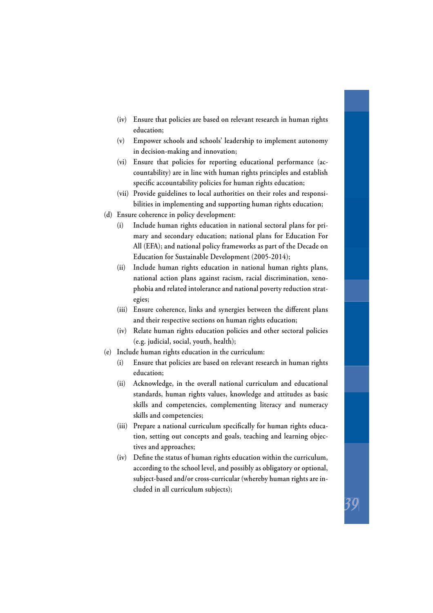- **(iv) Ensure that policies are based on relevant research in human rights education;**
- **(v) Empower schools and schools' leadership to implement autonomy in decision-making and innovation;**
- **(vi) Ensure that policies for reporting educational performance (accountability) are in line with human rights principles and establish**  specific accountability policies for human rights education;
- **(vii) Provide guidelines to local authorities on their roles and responsibilities in implementing and supporting human rights education;**
- **(d) Ensure coherence in policy development:**
	- **(i) Include human rights education in national sectoral plans for primary and secondary education; national plans for Education For All (EFA); and national policy frameworks as part of the Decade on Education for Sustainable Development (2005-2014);**
	- **(ii) Include human rights education in national human rights plans, national action plans against racism, racial discrimination, xenophobia and related intolerance and national poverty reduction strategies;**
	- (iii) Ensure coherence, links and synergies between the different plans **and their respective sections on human rights education;**
	- **(iv) Relate human rights education policies and other sectoral policies (e.g. judicial, social, youth, health);**
- **(e) Include human rights education in the curriculum:**
	- **(i) Ensure that policies are based on relevant research in human rights education;**
	- **(ii) Acknowledge, in the overall national curriculum and educational standards, human rights values, knowledge and attitudes as basic skills and competencies, complementing literacy and numeracy skills and competencies;**
	- (iii) Prepare a national curriculum specifically for human rights educa**tion, setting out concepts and goals, teaching and learning objectives and approaches;**
	- (iv) Define the status of human rights education within the curriculum, **according to the school level, and possibly as obligatory or optional, subject-based and/or cross-curricular (whereby human rights are included in all curriculum subjects);**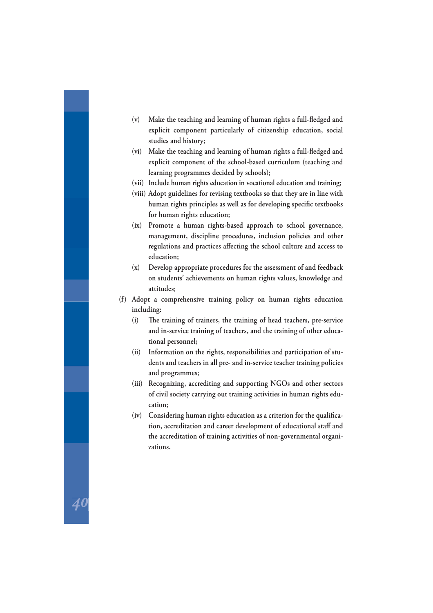- (v) Make the teaching and learning of human rights a full-fledged and **explicit component particularly of citizenship education, social studies and history;**
- (vi) Make the teaching and learning of human rights a full-fledged and **explicit component of the school-based curriculum (teaching and learning programmes decided by schools);**
- **(vii) Include human rights education in vocational education and training;**
- **(viii) Adopt guidelines for revising textbooks so that they are in line with**  human rights principles as well as for developing specific textbooks **for human rights education;**
- **(ix) Promote a human rights-based approach to school governance, management, discipline procedures, inclusion policies and other**  regulations and practices affecting the school culture and access to **education;**
- **(x) Develop appropriate procedures for the assessment of and feedback on students' achievements on human rights values, knowledge and attitudes;**
- **(f) Adopt a comprehensive training policy on human rights education including:**
	- (i) The training of trainers, the training of head teachers, pre-service **and in-service training of teachers, and the training of other educational personnel;**
	- **(ii) Information on the rights, responsibilities and participation of students and teachers in all pre- and in-service teacher training policies and programmes;**
	- **(iii) Recognizing, accrediting and supporting NGOs and other sectors of civil society carrying out training activities in human rights education;**
	- (iv) Considering human rights education as a criterion for the qualifica**tion, accreditation and career development of educational staff and the accreditation of training activities of non-governmental organizations.**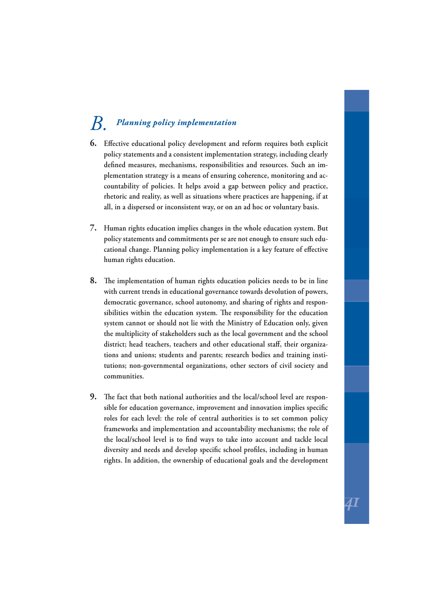## *B. Planning policy implementation*

- **6.** Effective educational policy development and reform requires both explicit **policy statements and a consistent implementation strategy, including clearly**  defined measures, mechanisms, responsibilities and resources. Such an im**plementation strategy is a means of ensuring coherence, monitoring and accountability of policies. It helps avoid a gap between policy and practice, rhetoric and reality, as well as situations where practices are happening, if at all, in a dispersed or inconsistent way, or on an ad hoc or voluntary basis.**
- **7. Human rights education implies changes in the whole education system. But policy statements and commitments per se are not enough to ensure such edu**cational change. Planning policy implementation is a key feature of effective **human rights education.**
- **8.** The implementation of human rights education policies needs to be in line **with current trends in educational governance towards devolution of powers, democratic governance, school autonomy, and sharing of rights and respon**sibilities within the education system. The responsibility for the education **system cannot or should not lie with the Ministry of Education only, given the multiplicity of stakeholders such as the local government and the school**  district; head teachers, teachers and other educational staff, their organiza**tions and unions; students and parents; research bodies and training institutions; non-governmental organizations, other sectors of civil society and communities.**
- **9.** The fact that both national authorities and the local/school level are responsible for education governance, improvement and innovation implies specific **roles for each level: the role of central authorities is to set common policy frameworks and implementation and accountability mechanisms; the role of**  the local/school level is to find ways to take into account and tackle local diversity and needs and develop specific school profiles, including in human **rights. In addition, the ownership of educational goals and the development**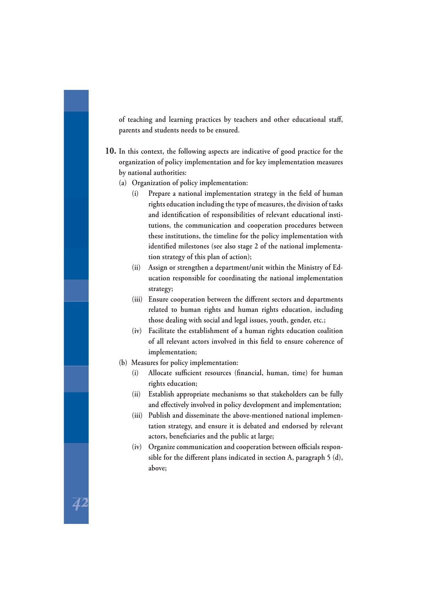of teaching and learning practices by teachers and other educational staff, **parents and students needs to be ensured.**

- **10. In this context, the following aspects are indicative of good practice for the organization of policy implementation and for key implementation measures by national authorities:**
	- **(a) Organization of policy implementation:** 
		- (i) Prepare a national implementation strategy in the field of human **rights education including the type of measures, the division of tasks**  and identification of responsibilities of relevant educational insti**tutions, the communication and cooperation procedures between these institutions, the timeline for the policy implementation with**  identified milestones (see also stage 2 of the national implementa**tion strategy of this plan of action);**
		- **(ii) Assign or strengthen a department/unit within the Ministry of Education responsible for coordinating the national implementation strategy;**
		- (iii) Ensure cooperation between the different sectors and departments **related to human rights and human rights education, including those dealing with social and legal issues, youth, gender, etc.;**
		- **(iv) Facilitate the establishment of a human rights education coalition**  of all relevant actors involved in this field to ensure coherence of **implementation;**
	- **(b) Measures for policy implementation:**
		- (i) Allocate sufficient resources (financial, human, time) for human **rights education;**
		- **(ii) Establish appropriate mechanisms so that stakeholders can be fully**  and effectively involved in policy development and implementation;
		- **(iii) Publish and disseminate the above-mentioned national implementation strategy, and ensure it is debated and endorsed by relevant**  actors, beneficiaries and the public at large;
		- (iv) Organize communication and cooperation between officials responsible for the different plans indicated in section A, paragraph 5 (d), **above;**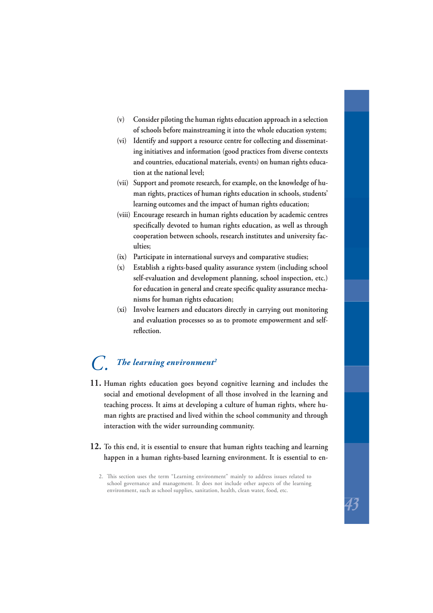- **(v) Consider piloting the human rights education approach in a selection of schools before mainstreaming it into the whole education system;**
- **(vi) Identify and support a resource centre for collecting and disseminating initiatives and information (good practices from diverse contexts and countries, educational materials, events) on human rights education at the national level;**
- **(vii) Support and promote research, for example, on the knowledge of human rights, practices of human rights education in schools, students' learning outcomes and the impact of human rights education;**
- **(viii) Encourage research in human rights education by academic centres**  specifically devoted to human rights education, as well as through **cooperation between schools, research institutes and university faculties;**
- **(ix) Participate in international surveys and comparative studies;**
- **(x) Establish a rights-based quality assurance system (including school self-evaluation and development planning, school inspection, etc.)**  for education in general and create specific quality assurance mecha**nisms for human rights education;**
- **(xi) Involve learners and educators directly in carrying out monitoring and evaluation processes so as to promote empowerment and self**reflection.

## *C. The learning environment2*

- **11. Human rights education goes beyond cognitive learning and includes the social and emotional development of all those involved in the learning and teaching process. It aims at developing a culture of human rights, where human rights are practised and lived within the school community and through interaction with the wider surrounding community.**
- **12. To this end, it is essential to ensure that human rights teaching and learning happen in a human rights-based learning environment. It is essential to en-**

<sup>2.</sup> This section uses the term "Learning environment" mainly to address issues related to school governance and management. It does not include other aspects of the learning environment, such as school supplies, sanitation, health, clean water, food, etc.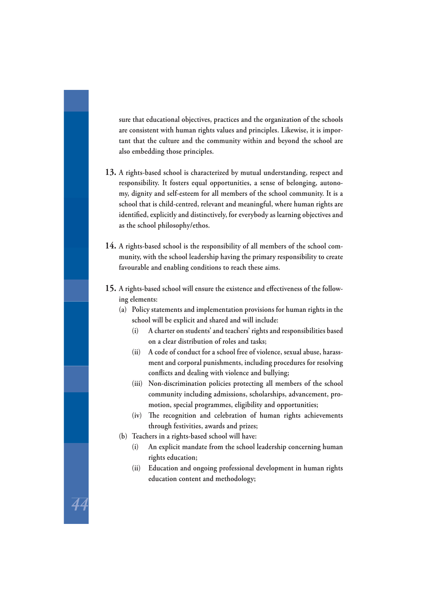**sure that educational objectives, practices and the organization of the schools are consistent with human rights values and principles. Likewise, it is important that the culture and the community within and beyond the school are also embedding those principles.**

- **13. A rights-based school is characterized by mutual understanding, respect and responsibility. It fosters equal opportunities, a sense of belonging, autonomy, dignity and self-esteem for all members of the school community. It is a school that is child- centred, relevant and meaningful, where human rights are**  identified, explicitly and distinctively, for everybody as learning objectives and **as the school philosophy/ethos.**
- **14. A rights-based school is the responsibility of all members of the school community, with the school leadership having the primary responsibility to create favourable and enabling conditions to reach these aims.**
- 15. A rights-based school will ensure the existence and effectiveness of the follow**ing elements:**
	- **(a) Policy statements and implementation provisions for human rights in the school will be explicit and shared and will include:**
		- **(i) A charter on students' and teachers' rights and responsibilities based on a clear distribution of roles and tasks;**
		- **(ii) A code of conduct for a school free of violence, sexual abuse, harassment and corporal punishments, including procedures for resolving confl icts and dealing with violence and bullying;**
		- **(iii) Non-discrimination policies protecting all members of the school community including admissions, scholarships, advancement, promotion, special programmes, eligibility and opportunities;**
		- (iv) The recognition and celebration of human rights achievements **through festivities, awards and prizes;**
	- **(b) Teachers in a rights-based school will have:**

44

- **(i) An explicit mandate from the school leadership concerning human rights education;**
- **(ii) Education and ongoing professional development in human rights education content and methodology;**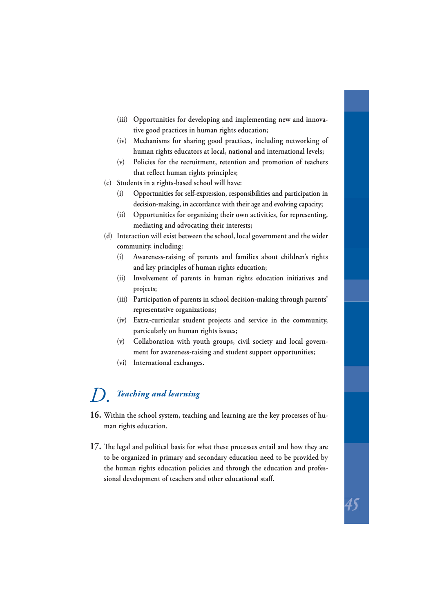- **(iii) Opportunities for developing and implementing new and innovative good practices in human rights education;**
- **(iv) Mechanisms for sharing good practices, including networking of human rights educators at local, national and international levels;**
- **(v) Policies for the recruitment, retention and promotion of teachers**  that reflect human rights principles;
- **(c) Students in a rights-based school will have:**
	- **(i) Opportunities for self-expression, responsibilities and participation in decision-making, in accordance with their age and evolving capacity;**
	- **(ii) Opportunities for organizing their own activities, for representing, mediating and advocating their interests;**
- **(d) Interaction will exist between the school, local government and the wider community, including:**
	- **(i) Awareness-raising of parents and families about children's rights and key principles of human rights education;**
	- **(ii) Involvement of parents in human rights education initiatives and projects;**
	- **(iii) Participation of parents in school decision-making through parents' representative organizations;**
	- **(iv) Extra-curricular student projects and service in the community, particularly on human rights issues;**
	- **(v) Collaboration with youth groups, civil society and local government for awareness-raising and student support opportunities;**
	- **(vi) International exchanges.**

## *D. Teaching and learning*

- **16. Within the school system, teaching and learning are the key processes of human rights education.**
- **17.** The legal and political basis for what these processes entail and how they are **to be organized in primary and secondary education need to be provided by the human rights education policies and through the education and professional development of teachers and other educational staff .**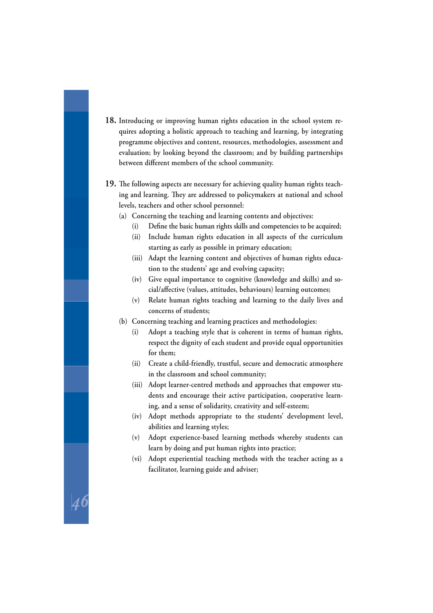- **18. Introducing or improving human rights education in the school system requires adopting a holistic approach to teaching and learning, by integrating programme objectives and content, resources, methodologies, assessment and evaluation; by looking beyond the classroom; and by building partnerships**  between different members of the school community.
- **19.** The following aspects are necessary for achieving quality human rights teaching and learning. They are addressed to policymakers at national and school **levels, teachers and other school personnel:**
	- **(a) Concerning the teaching and learning contents and objectives:**
		- (i) Define the basic human rights skills and competencies to be acquired;
		- **(ii) Include human rights education in all aspects of the curriculum starting as early as possible in primary education;**
		- **(iii) Adapt the learning content and objectives of human rights education to the students' age and evolving capacity;**
		- **(iv) Give equal importance to cognitive (knowledge and skills) and social/aff ective (values, attitudes, behaviours) learning outcomes;**
		- **(v) Relate human rights teaching and learning to the daily lives and concerns of students;**
	- **(b) Concerning teaching and learning practices and methodologies:**
		- **(i) Adopt a teaching style that is coherent in terms of human rights, respect the dignity of each student and provide equal opportunities for them;**
		- **(ii) Create a child-friendly, trustful, secure and democratic atmosphere in the classroom and school community;**
		- **(iii) Adopt learner-centred methods and approaches that empower students and encourage their active participation, cooperative learning, and a sense of solidarity, creativity and self-esteem;**
		- **(iv) Adopt methods appropriate to the students' development level, abilities and learning styles;**
		- **(v) Adopt experience-based learning methods whereby students can learn by doing and put human rights into practice;**
		- **(vi) Adopt experiential teaching methods with the teacher acting as a facilitator, learning guide and adviser;**

46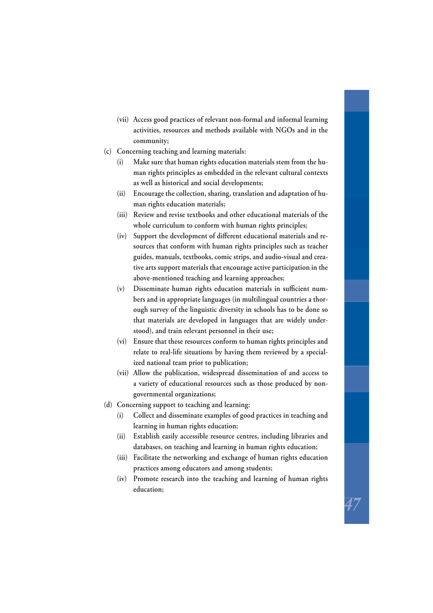- **(vii) Access good practices of relevant non-formal and informal learning activities, resources and methods available with NGOs and in the community;**
- **(c) Concerning teaching and learning materials:**
	- **(i) Make sure that human rights education materials stem from the human rights principles as embedded in the relevant cultural contexts as well as historical and social developments;**
	- **(ii) Encourage the collection, sharing, translation and adaptation of human rights education materials;**
	- **(iii) Review and revise textbooks and other educational materials of the whole curriculum to conform with human rights principles;**
	- (iv) Support the development of different educational materials and re**sources that conform with human rights principles such as teacher guides, manuals, textbooks, comic strips, and audio-visual and creative arts support materials that encourage active participation in the above-mentioned teaching and learning approaches;**
	- (v) Disseminate human rights education materials in sufficient num**bers and in appropriate languages (in multilingual countries a thorough survey of the linguistic diversity in schools has to be done so that materials are developed in languages that are widely understood), and train relevant personnel in their use;**
	- **(vi) Ensure that these resources conform to human rights principles and relate to real-life situations by having them reviewed by a specialized national team prior to publication;**
	- **(vii) Allow the publication, widespread dissemination of and access to a variety of educational resources such as those produced by nongovernmental organizations;**
- **(d) Concerning support to teaching and learning:**
	- **(i) Collect and disseminate examples of good practices in teaching and learning in human rights education;**
	- **(ii) Establish easily accessible resource centres, including libraries and databases, on teaching and learning in human rights education;**
	- **(iii) Facilitate the networking and exchange of human rights education practices among educators and among students;**
	- **(iv) Promote research into the teaching and learning of human rights education;**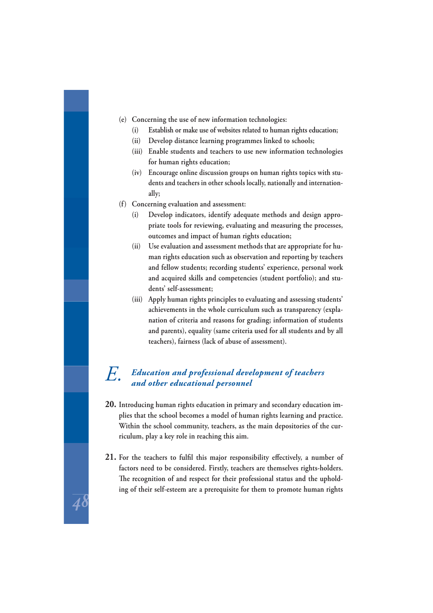- **(e) Concerning the use of new information technologies:**
	- **(i) Establish or make use of websites related to human rights education;**
	- **(ii) Develop distance learning programmes linked to schools;**
	- **(iii) Enable students and teachers to use new information technologies for human rights education;**
	- **(iv) Encourage online discussion groups on human rights topics with students and teachers in other schools locally, nationally and internationally;**
- **(f) Concerning evaluation and assessment:**
	- **(i) Develop indicators, identify adequate methods and design appropriate tools for reviewing, evaluating and measuring the processes, outcomes and impact of human rights education;**
	- **(ii) Use evaluation and assessment methods that are appropriate for human rights education such as observation and reporting by teachers and fellow students; recording students' experience, personal work and acquired skills and competencies (student portfolio); and students' self-assessment;**
	- **(iii) Apply human rights principles to evaluating and assessing students' achievements in the whole curriculum such as transparency (explanation of criteria and reasons for grading; information of students and parents), equality (same criteria used for all students and by all teachers), fairness (lack of abuse of assessment).**

# *E. Education and professional development of teachers and other educational personnel*

- **20. Introducing human rights education in primary and secondary education implies that the school becomes a model of human rights learning and practice. Within the school community, teachers, as the main depositories of the curriculum, play a key role in reaching this aim.**
- **21.** For the teachers to fulfil this major responsibility effectively, a number of **factors need to be considered. Firstly, teachers are themselves rights-holders.**  The recognition of and respect for their professional status and the uphold**ing of their self-esteem are a prerequisite for them to promote human rights**

48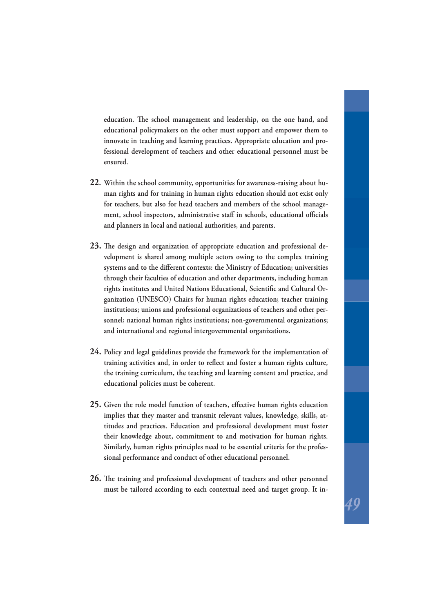education. The school management and leadership, on the one hand, and **educational policymakers on the other must support and empower them to innovate in teaching and learning practices. Appropriate education and professional development of teachers and other educational personnel must be ensured.**

- **22. Within the school community, opportunities for awareness-raising about human rights and for training in human rights education should not exist only for teachers, but also for head teachers and members of the school manage**ment, school inspectors, administrative staff in schools, educational officials **and planners in local and national authorities, and parents.**
- 23. The design and organization of appropriate education and professional de**velopment is shared among multiple actors owing to the complex training**  systems and to the different contexts: the Ministry of Education; universities **through their faculties of education and other departments, including human**  rights institutes and United Nations Educational, Scientific and Cultural Or**ganization (UNESCO) Chairs for human rights education; teacher training institutions; unions and professional organizations of teachers and other personnel; national human rights institutions; non-governmental organizations; and international and regional intergovernmental organizations.**
- **24. Policy and legal guidelines provide the framework for the implementation of**  training activities and, in order to reflect and foster a human rights culture, **the training curriculum, the teaching and learning content and practice, and educational policies must be coherent.**
- 25. Given the role model function of teachers, effective human rights education **implies that they master and transmit relevant values, knowledge, skills, attitudes and practices. Education and professional development must foster their knowledge about, commitment to and motivation for human rights. Similarly, human rights principles need to be essential criteria for the professional performance and conduct of other educational personnel.**
- **26.** The training and professional development of teachers and other personnel **must be tailored according to each contextual need and target group. It in-**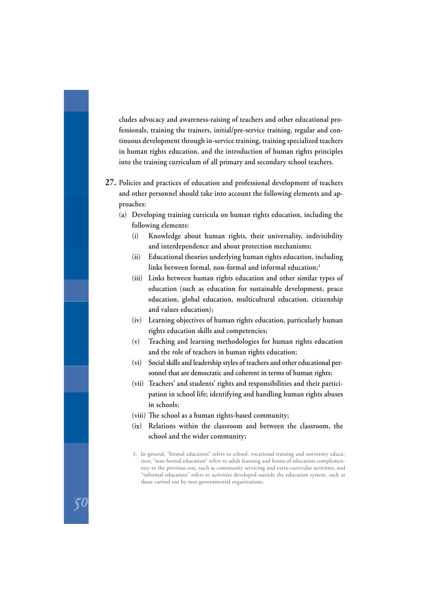**cludes advocacy and awareness-raising of teachers and other educational professionals, training the trainers, initial/pre-service training, regular and continuous development through in-service training, training specialized teachers in human rights education, and the introduction of human rights principles into the training curriculum of all primary and secondary school teachers.**

- **27. Policies and practices of education and professional development of teachers and other personnel should take into account the following elements and approaches:**
	- **(a) Developing training curricula on human rights education, including the following elements:**
		- **(i) Knowledge about human rights, their universality, indivisibility and interdependence and about protection mechanisms;**
		- **(ii) Educational theories underlying human rights education, including links between formal, non-formal and informal education;3**
		- **(iii) Links between human rights education and other similar types of education (such as education for sustainable development, peace education, global education, multicultural education, citizenship and values education);**
		- **(iv) Learning objectives of human rights education, particularly human rights education skills and competencies;**
		- **(v) Teaching and learning methodologies for human rights education and the role of teachers in human rights education;**
		- **(vi) Social skills and leadership styles of teachers and other educational personnel that are democratic and coherent in terms of human rights;**
		- **(vii) Teachers' and students' rights and responsibilities and their participation in school life; identifying and handling human rights abuses in schools;**
		- (viii) The school as a human rights-based community;
		- **(ix) Relations within the classroom and between the classroom, the school and the wider community;**
		- 3. In general, "formal education" refers to school, vocational training and university education; "non-formal education" refers to adult learning and forms of education complementary to the previous one, such as community servicing and extra-curricular activities; and "informal education" refers to activities developed outside the education system, such as those carried out by non-governmental organizations.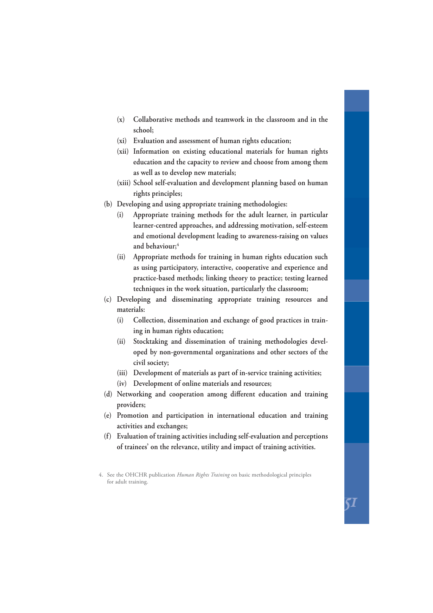- **(x) Collaborative methods and teamwork in the classroom and in the school;**
- **(xi) Evaluation and assessment of human rights education;**
- **(xii) Information on existing educational materials for human rights education and the capacity to review and choose from among them as well as to develop new materials;**
- **(xiii) School self-evaluation and development planning based on human rights principles;**
- **(b) Developing and using appropriate training methodologies:**
	- **(i) Appropriate training methods for the adult learner, in particular learner-centred approaches, and addressing motivation, self-esteem and emotional development leading to awareness-raising on values and behaviour;4**
	- **(ii) Appropriate methods for training in human rights education such as using participatory, interactive, cooperative and experience and practice-based methods; linking theory to practice; testing learned techniques in the work situation, particularly the classroom;**
- **(c) Developing and disseminating appropriate training resources and materials:**
	- **(i) Collection, dissemination and exchange of good practices in training in human rights education;**
	- **(ii) Stocktaking and dissemination of training methodologies developed by non-governmental organizations and other sectors of the civil society;**
	- **(iii) Development of materials as part of in-service training activities;**
	- **(iv) Development of online materials and resources;**
- (d) Networking and cooperation among different education and training **providers;**
- **(e) Promotion and participation in international education and training activities and exchanges;**
- **(f) Evaluation of training activities including self-evaluation and perceptions of trainees' on the relevance, utility and impact of training activities.**

<sup>4.</sup> See the OHCHR publication *Human Rights Training* on basic methodological principles for adult training.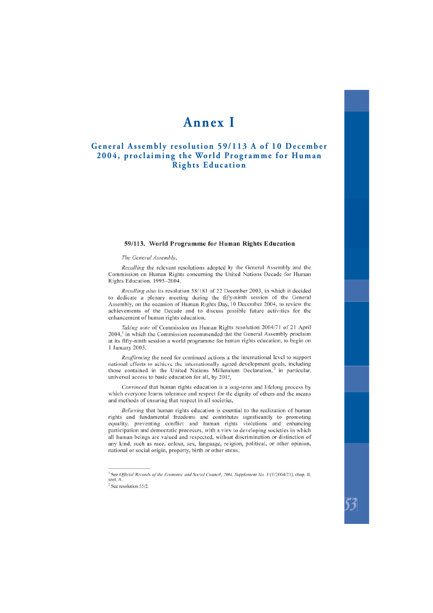### **Annex I**

#### <span id="page-52-0"></span>**General Assembly resolution 59/113 A of 10 December 2004, proclaiming the World Programme for Human Rights Education**

#### 59/113. World Programme for Human Rights Education

#### The General Assembly,

Recalling the relevant resolutions adopted by the General Assembly and the Commission on Human Rights concerning the United Nations Decade for Human Rights Education, 1995-2004,

Recalling also its resolution 58/181 of 22 December 2003, in which it decided to dedicate a plenary meeting during the fifty-ninth session of the General Assembly, on the occasion of Human Rights Day, 10 December 2004, to review the achievements of the Decade and to discuss possible future activities for the enhancement of human rights education,

Taking note of Commission on Human Rights resolution 2004/71 of 21 April  $2004<sup>1</sup>$  in which the Commission recommended that the General Assembly proclaim at its fifty-ninth session a world programme for human rights education, to begin on 1 January 2005,

Reaffirming the need for continued actions at the international level to support national efforts to achieve the internationally agreed development goals, including those contained in the United Nations Millennium Declaration,<sup>2</sup> in particular, universal access to basic education for all, by 2015,

Convinced that human rights education is a long-term and lifelong process by which everyone learns tolerance and respect for the dignity of others and the means and methods of ensuring that respect in all societies,

Believing that human rights education is essential to the realization of human rights and fundamental freedoms and contributes significantly to promoting equality, preventing conflict and human rights violations and enhancing participation and democratic processes, with a view to developing societies in which all human beings are valued and respected, without discrimination or distinction of any kind, such as race, colour, sex, language, religion, political, or other opinion, national or social origin, property, birth or other status,

See Official Records of the Economic and Social Council, 2004, Supplement No. 3 (E/2004/23), chap. II, sect. A.

 $2$  See resolution 55/2.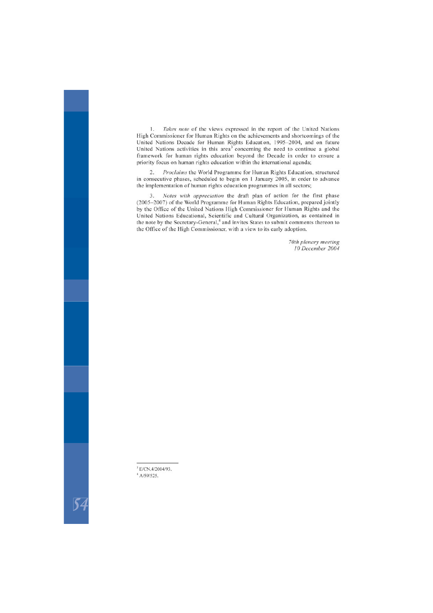Takes note of the views expressed in the report of the United Nations  $1.$ High Commissioner for Human Rights on the achievements and shortcomings of the United Nations Decade for Human Rights Education, 1995-2004, and on future United Nations activities in this area<sup>3</sup> concerning the need to continue a global framework for human rights education beyond the Decade in order to ensure a priority focus on human rights education within the international agenda;

Proclaims the World Programme for Human Rights Education, structured  $2$ in consecutive phases, scheduled to begin on 1 January 2005, in order to advance the implementation of human rights education programmes in all sectors:

Notes with appreciation the draft plan of action for the first phase 3. (2005-2007) of the World Programme for Human Rights Education, prepared jointly by the Office of the United Nations High Commissioner for Human Rights and the United Nations Educational, Scientific and Cultural Organization, as contained in the note by the Secretary-General,<sup>4</sup> and invites States to submit comments thereon to the Office of the High Commissioner, with a view to its early adoption.

> 70th plenary meeting 10 December 2004

<sup>&</sup>lt;sup>3</sup> E/CN.4/2004/93.

 $4$  A/59/525.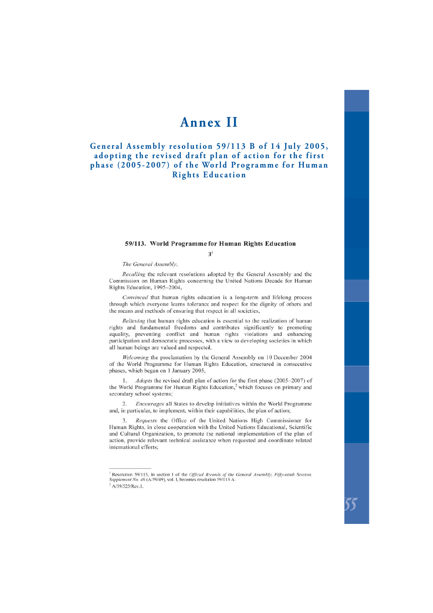## **Annex II**

#### <span id="page-54-0"></span>**General Assembly resolution 59/113 B of 14 July 2005, adopting the revised draft plan of action for the first phase (2005-2007) of the World Programme for Human Rights Education**

#### 59/113. World Programme for Human Rights Education

 $R<sup>1</sup>$ 

The General Assembly,

Recalling the relevant resolutions adopted by the General Assembly and the Commission on Human Rights concerning the United Nations Decade for Human Rights Education, 1995-2004,

Convinced that human rights education is a long-term and lifelong process through which everyone learns tolerance and respect for the dignity of others and the means and methods of ensuring that respect in all societies,

Believing that human rights education is essential to the realization of human rights and fundamental freedoms and contributes significantly to promoting equality, preventing conflict and human rights violations and enhancing participation and democratic processes, with a view to developing societies in which all human beings are valued and respected,

Welcoming the proclamation by the General Assembly on 10 December 2004 of the World Programme for Human Rights Education, structured in consecutive phases, which began on 1 January 2005,

Adopts the revised draft plan of action for the first phase (2005–2007) of  $\mathbf{1}$ the World Programme for Human Rights Education.<sup>2</sup> which focuses on primary and secondary school systems:

 $\overline{2}$ *Encourages* all States to develop initiatives within the World Programme and, in particular, to implement, within their capabilities, the plan of action;

Requests the Office of the United Nations High Commissioner for  $\mathbf{R}$ Human Rights, in close cooperation with the United Nations Educational, Scientific and Cultural Organization, to promote the national implementation of the plan of action, provide relevant technical assistance when requested and coordinate related international efforts:

Resolution 59/113, in section I of the Official Records of the General Assembly, Fifty-ninth Session, Supplement No. 49 (A/59/49), vol. I, becomes resolution 59/113 A.

 $2$  A/59/525/Rev.1.